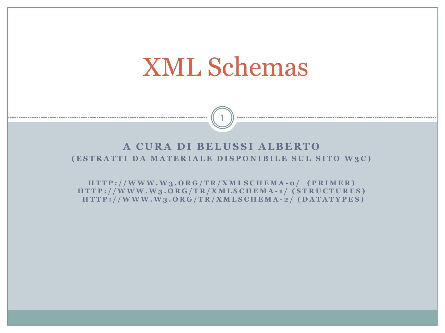# XML Schemas

#### A CURA DI BELUSSI ALBERTO **(ESTRATTI DA MATERIALE DISPONIBILE SUL SITO W3C)**

1

**H T T P : / / W W W . W 3 . O R G / T R / X M L S C H E M A - 0 / ( P R I M E R ) H T T P : / / W W W . W 3 . O R G / T R / X M L S C H E M A - 1 / ( S T R U C T U R E S ) H T T P : / / W W W . W 3 . O R G / T R / X M L S C H E M A - 2 / ( D A T A T Y P E S )**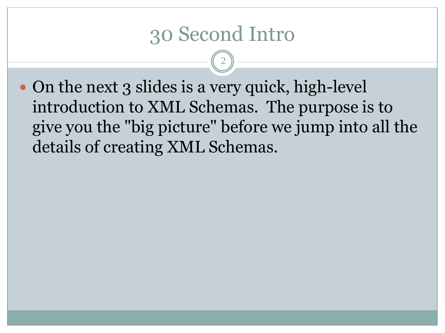#### 30 Second Intro

2

• On the next 3 slides is a very quick, high-level introduction to XML Schemas. The purpose is to give you the "big picture" before we jump into all the details of creating XML Schemas.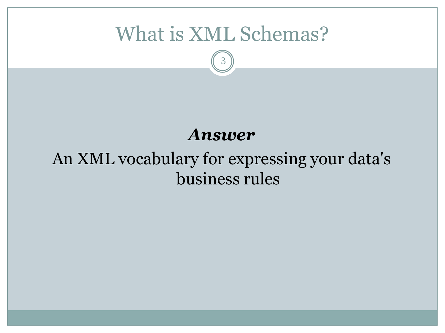### What is XML Schemas?

3

#### *Answer*

#### An XML vocabulary for expressing your data's business rules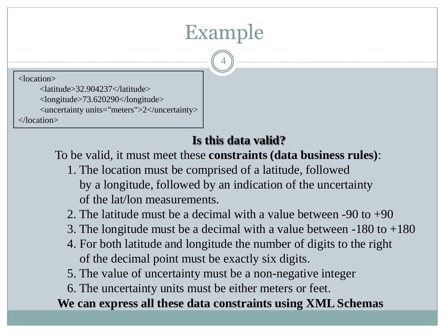## Example

4

<location>

 <latitude>32.904237</latitude> <longitude>73.620290</longitude> <uncertainty units="meters">2</uncertainty> </location>

#### **Is this data valid?**

To be valid, it must meet these **constraints (data business rules)**:

 1. The location must be comprised of a latitude, followed by a longitude, followed by an indication of the uncertainty of the lat/lon measurements.

2. The latitude must be a decimal with a value between  $-90$  to  $+90$ 

- 3. The longitude must be a decimal with a value between -180 to +180
- 4. For both latitude and longitude the number of digits to the right of the decimal point must be exactly six digits.

5. The value of uncertainty must be a non-negative integer

6. The uncertainty units must be either meters or feet.

**We can express all these data constraints using XML Schemas**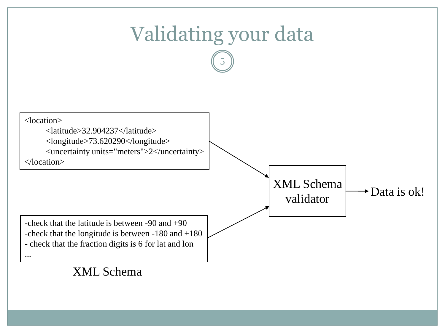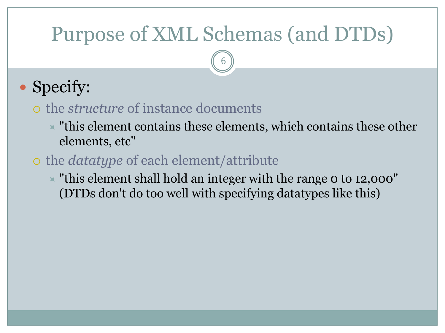## Purpose of XML Schemas (and DTDs)

6

## • Specify:

#### the *structure* of instance documents

 $\overline{\phantom{a}}$  "this element contains these elements, which contains these other elements, etc"

#### the *datatype* of each element/attribute

 $\overline{\phantom{a}}$  "this element shall hold an integer with the range 0 to 12,000" (DTDs don't do too well with specifying datatypes like this)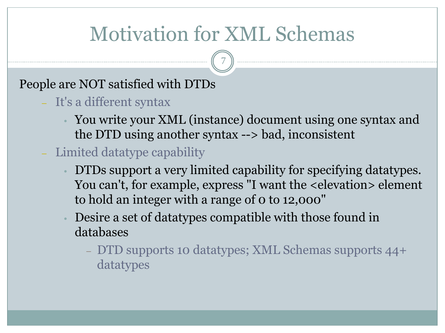## Motivation for XML Schemas

7

#### People are NOT satisfied with DTDs

- It's a different syntax
	- You write your XML (instance) document using one syntax and the DTD using another syntax --> bad, inconsistent
- Limited datatype capability
	- DTDs support a very limited capability for specifying datatypes. You can't, for example, express "I want the <elevation> element to hold an integer with a range of 0 to 12,000"
	- Desire a set of datatypes compatible with those found in databases
		- DTD supports 10 datatypes; XML Schemas supports 44+ datatypes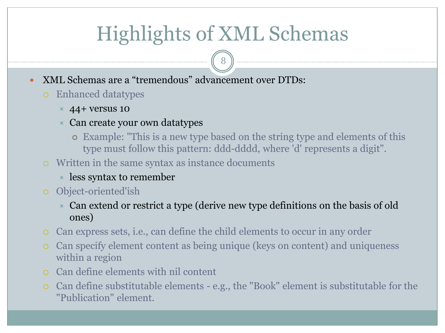## Highlights of XML Schemas

8

- XML Schemas are a "tremendous" advancement over DTDs:
	- Enhanced datatypes
		- $\times$  44+ versus 10
		- $\times$  Can create your own datatypes
			- Example: "This is a new type based on the string type and elements of this type must follow this pattern: ddd-dddd, where 'd' represents a digit".
	- Written in the same syntax as instance documents
		- $\times$  less syntax to remember
	- Object-oriented'ish
		- Can extend or restrict a type (derive new type definitions on the basis of old ones)
	- Can express sets, i.e., can define the child elements to occur in any order
	- Can specify element content as being unique (keys on content) and uniqueness within a region
	- Can define elements with nil content
	- Can define substitutable elements e.g., the "Book" element is substitutable for the "Publication" element.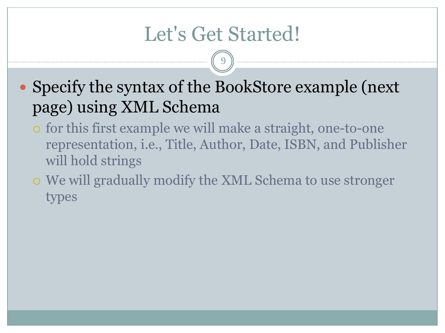## Let's Get Started!

9

• Specify the syntax of the BookStore example (next) page) using XML Schema

- for this first example we will make a straight, one-to-one representation, i.e., Title, Author, Date, ISBN, and Publisher will hold strings
- We will gradually modify the XML Schema to use stronger types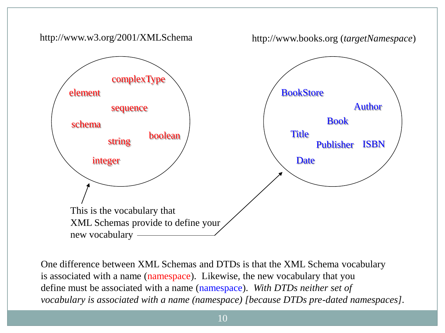

One difference between XML Schemas and DTDs is that the XML Schema vocabulary is associated with a name (namespace). Likewise, the new vocabulary that you define must be associated with a name (namespace). *With DTDs neither set of vocabulary is associated with a name (namespace) [because DTDs pre-dated namespaces].*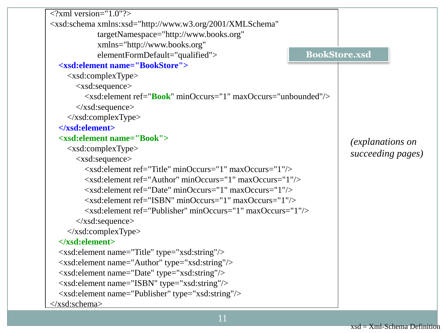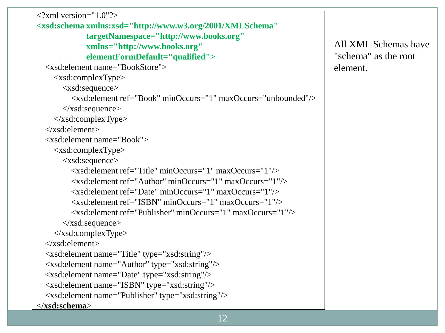```
\langle 2xml version="1.0"?>
<xsd:schema xmlns:xsd="http://www.w3.org/2001/XMLSchema"
              targetNamespace="http://www.books.org"
              xmlns="http://www.books.org"
              elementFormDefault="qualified">
   <xsd:element name="BookStore">
     <xsd:complexType>
        <xsd:sequence>
         \langle x\bar{x}d\cdot e element ref="Book" minOccurs="1" maxOccurs="unbounded"/> </xsd:sequence>
    \langle x\text{sd:complexType}\rangle </xsd:element>
   <xsd:element name="Book">
     <xsd:complexType>
        <xsd:sequence>
          <xsd:element ref="Title" minOccurs="1" maxOccurs="1"/>
          <xsd:element ref="Author" minOccurs="1" maxOccurs="1"/>
          <xsd:element ref="Date" minOccurs="1" maxOccurs="1"/>
          <xsd:element ref="ISBN" minOccurs="1" maxOccurs="1"/>
          <xsd:element ref="Publisher" minOccurs="1" maxOccurs="1"/>
        </xsd:sequence>
    \langle x\text{sd:complexType}\rangle </xsd:element>
   <xsd:element name="Title" type="xsd:string"/>
   <xsd:element name="Author" type="xsd:string"/>
   <xsd:element name="Date" type="xsd:string"/>
   <xsd:element name="ISBN" type="xsd:string"/>
   <xsd:element name="Publisher" type="xsd:string"/>
</xsd:schema>
```
All XML Schemas have "schema" as the root element.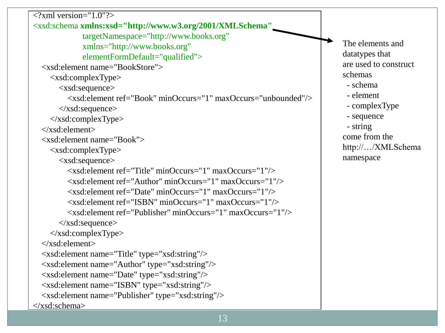```
\langle 2xml version="1.0"?>
<xsd:schema xmlns:xsd="http://www.w3.org/2001/XMLSchema"
               targetNamespace="http://www.books.org"
               xmlns="http://www.books.org"
               elementFormDefault="qualified">
   <xsd:element name="BookStore">
     <xsd:complexType>
        <xsd:sequence>
         \langle x\bar{x}d\cdot\bar{d}\rangle ref="Book" minOccurs="1" maxOccurs="unbounded"/\rangle </xsd:sequence>
    \langle x\text{sd:complexType}\rangle </xsd:element>
   <xsd:element name="Book">
     <xsd:complexType>
        <xsd:sequence>
          <xsd:element ref="Title" minOccurs="1" maxOccurs="1"/>
          <xsd:element ref="Author" minOccurs="1" maxOccurs="1"/>
          <xsd:element ref="Date" minOccurs="1" maxOccurs="1"/>
          <xsd:element ref="ISBN" minOccurs="1" maxOccurs="1"/>
          <xsd:element ref="Publisher" minOccurs="1" maxOccurs="1"/>
        </xsd:sequence>
    \langle x\text{sd:complexType}\rangle </xsd:element>
   <xsd:element name="Title" type="xsd:string"/>
   <xsd:element name="Author" type="xsd:string"/>
   <xsd:element name="Date" type="xsd:string"/>
   <xsd:element name="ISBN" type="xsd:string"/>
   <xsd:element name="Publisher" type="xsd:string"/>
</xsd:schema>
                                                                                       The elements and
                                                                                       datatypes that
                                                                                       are used to construct
                                                                                       schemas 
                                                                                         - schema
                                                                                         - element
                                                                                         - complexType
                                                                                         - sequence
                                                                                         - string
                                                                                       come from the 
                                                                                       http://…/XMLSchema
                                                                                       namespace
```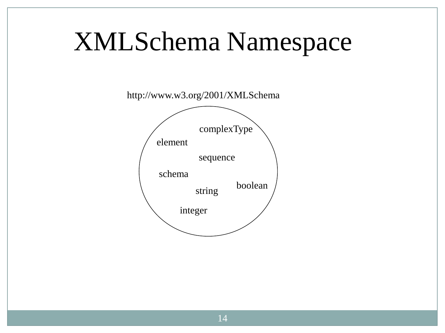# XMLSchema Namespace

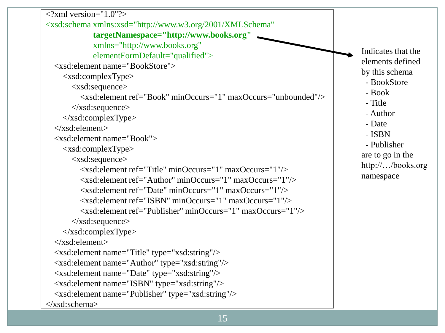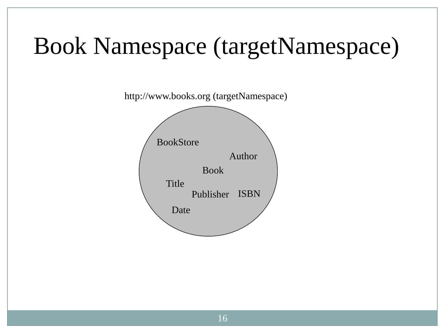# Book Namespace (targetNamespace)

http://www.books.org (targetNamespace)

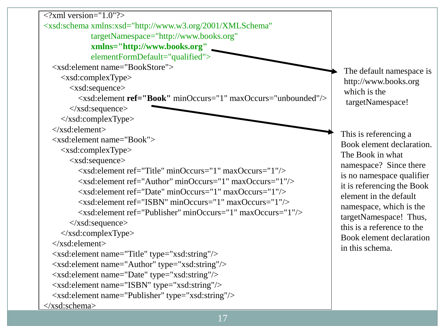$\langle$  2xml version="1.0"?> <xsd:schema xmlns:xsd="http://www.w3.org/2001/XMLSchema" targetNamespace="http://www.books.org" **xmlns="http://www.books.org"** elementFormDefault="qualified"> <xsd:element name="BookStore"> <xsd:complexType> <xsd:sequence> <xsd:element **ref="Book"** minOccurs="1" maxOccurs="unbounded"/> </xsd:sequence> </xsd:complexType> </xsd:element> <xsd:element name="Book"> <xsd:complexType> <xsd:sequence> <xsd:element ref="Title" minOccurs="1" maxOccurs="1"/> <xsd:element ref="Author" minOccurs="1" maxOccurs="1"/> <xsd:element ref="Date" minOccurs="1" maxOccurs="1"/> <xsd:element ref="ISBN" minOccurs="1" maxOccurs="1"/> <xsd:element ref="Publisher" minOccurs="1" maxOccurs="1"/> </xsd:sequence>  $\langle x\text{sd:complexType}\rangle$  </xsd:element> <xsd:element name="Title" type="xsd:string"/> <xsd:element name="Author" type="xsd:string"/> <xsd:element name="Date" type="xsd:string"/> <xsd:element name="ISBN" type="xsd:string"/> <xsd:element name="Publisher" type="xsd:string"/> </xsd:schema>

The default namespace is http://www.books.org which is the targetNamespace!

This is referencing a Book element declaration. The Book in what namespace? Since there is no namespace qualifier it is referencing the Book element in the default namespace, which is the targetNamespace! Thus, this is a reference to the Book element declaration in this schema.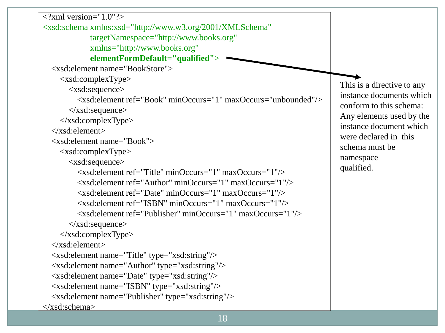```
18
\leq?xml version="1.0"?>
<xsd:schema xmlns:xsd="http://www.w3.org/2001/XMLSchema"
              targetNamespace="http://www.books.org"
              xmlns="http://www.books.org"
              elementFormDefault="qualified">
   <xsd:element name="BookStore">
     <xsd:complexType>
        <xsd:sequence>
         \langle x\hat{\mathrm{sd}}\rangle: element ref="Book" minOccurs="1" maxOccurs="unbounded"
        </xsd:sequence>
     </xsd:complexType>
   </xsd:element>
   <xsd:element name="Book">
     <xsd:complexType>
        <xsd:sequence>
          <xsd:element ref="Title" minOccurs="1" maxOccurs="1"/>
          <xsd:element ref="Author" minOccurs="1" maxOccurs="1"/>
          <xsd:element ref="Date" minOccurs="1" maxOccurs="1"/>
          <xsd:element ref="ISBN" minOccurs="1" maxOccurs="1"/>
          <xsd:element ref="Publisher" minOccurs="1" maxOccurs="1"/>
       \langle x\text{sd:sequence}\rangle\langle x\text{sd:complexType}\rangle </xsd:element>
   <xsd:element name="Title" type="xsd:string"/>
   <xsd:element name="Author" type="xsd:string"/>
   <xsd:element name="Date" type="xsd:string"/>
   <xsd:element name="ISBN" type="xsd:string"/>
   <xsd:element name="Publisher" type="xsd:string"/>
</xsd:schema>
                                                                                   This is a directive to any
                                                                                   instance documents which
                                                                                   conform to this schema: 
                                                                                   Any elements used by the 
                                                                                   instance document which
                                                                                   were declared in this 
                                                                                   schema must be 
                                                                                   namespace
                                                                                   qualified.
```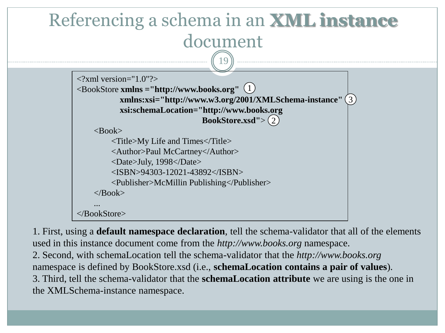

1. First, using a **default namespace declaration**, tell the schema-validator that all of the elements used in this instance document come from the *http://www.books.org* namespace. 2. Second, with schemaLocation tell the schema-validator that the *http://www.books.org* namespace is defined by BookStore.xsd (i.e., **schemaLocation contains a pair of values**). 3. Third, tell the schema-validator that the **schemaLocation attribute** we are using is the one in the XMLSchema-instance namespace.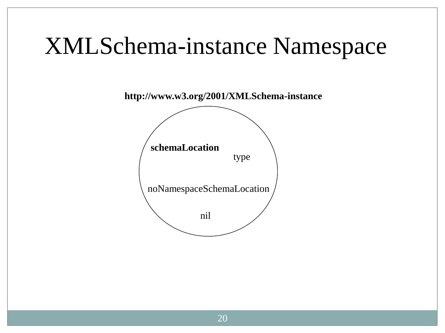## XMLSchema-instance Namespace

**http://www.w3.org/2001/XMLSchema-instance**

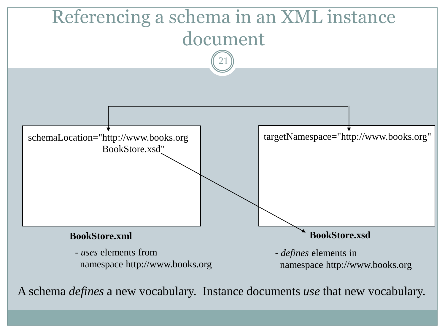

A schema *defines* a new vocabulary. Instance documents *use* that new vocabulary.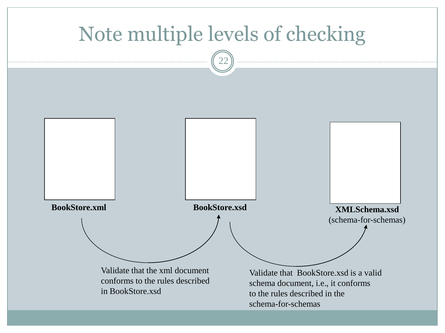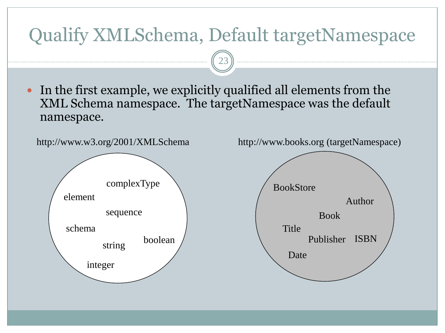#### Qualify XMLSchema, Default targetNamespace

23

 In the first example, we explicitly qualified all elements from the XML Schema namespace. The targetNamespace was the default namespace.



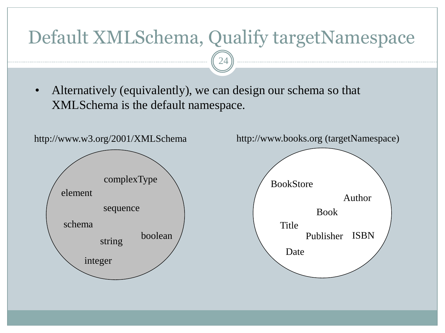#### Default XMLSchema, Qualify targetNamespace

24

• Alternatively (equivalently), we can design our schema so that XMLSchema is the default namespace.

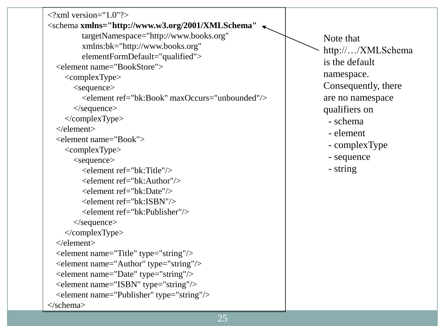| $\langle$ ?xml version="1.0"?>                                                 |                     |
|--------------------------------------------------------------------------------|---------------------|
| <schema <="" th="" xmlns="http://www.w3.org/2001/XMLSchema"><th></th></schema> |                     |
| targetNamespace="http://www.books.org"                                         | Note that           |
| xmlns:bk="http://www.books.org"                                                | http:///XMLSchema   |
| elementFormDefault="qualified">                                                | is the default      |
| <element name="BookStore"></element>                                           |                     |
| $\alpha$ <complextype></complextype>                                           | namespace.          |
| $<$ sequence $>$                                                               | Consequently, there |
| <element maxoccurs="unbounded" ref="bk:Book"></element>                        | are no namespace    |
| $\langle$ /sequence $>$                                                        | qualifiers on       |
|                                                                                | - schema            |
| $\langle$ element $\rangle$                                                    | - element           |
| <element name="Book"></element>                                                | - complexType       |
| $<$ complexType $>$                                                            |                     |
| $<$ sequence $>$                                                               | - sequence          |
| <element ref="bk:Title"></element>                                             | - string            |
| <element ref="bk:Author"></element>                                            |                     |
| <element ref="bk:Date"></element>                                              |                     |
| <element ref="bk:ISBN"></element>                                              |                     |
| <element ref="bk:Publisher"></element>                                         |                     |
| $\langle$ /sequence $>$                                                        |                     |
| $\langle \text{complexType} \rangle$                                           |                     |
| $\langle$ element $\rangle$                                                    |                     |
| <element name="Title" type="string"></element>                                 |                     |
| <element name="Author" type="string"></element>                                |                     |
| <element name="Date" type="string"></element>                                  |                     |
| <element name="ISBN" type="string"></element>                                  |                     |
| <element name="Publisher" type="string"></element>                             |                     |
|                                                                                |                     |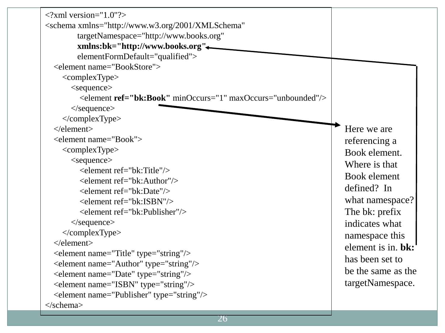| $\langle$ ?xml version="1.0"?>                                                 |                    |
|--------------------------------------------------------------------------------|--------------------|
| <schema <="" td="" xmlns="http://www.w3.org/2001/XMLSchema"><td></td></schema> |                    |
| targetNamespace="http://www.books.org"                                         |                    |
| xmlns:bk="http://www.books.org"<                                               |                    |
| elementFormDefault="qualified">                                                |                    |
| <element name="BookStore"></element>                                           |                    |
| $<$ complexType $>$                                                            |                    |
| $<$ sequence $>$                                                               |                    |
| <element maxoccurs="unbounded" minoccurs="1" ref="bk:Book"></element>          |                    |
| $\langle$ /sequence $>$                                                        |                    |
|                                                                                |                    |
| $\triangle$ /element $>$                                                       | Here we are        |
| <element name="Book"></element>                                                | referencing a      |
| $<$ complexType $>$                                                            | Book element.      |
| $<$ sequence $>$                                                               | Where is that      |
| $\leq$ element ref="bk:Title"/ $>$                                             | Book element       |
| <element ref="bk:Author"></element>                                            | defined? In        |
| <element ref="bk:Date"></element>                                              |                    |
| <element ref="bk:ISBN"></element>                                              | what namespace?    |
| <element ref="bk:Publisher"></element>                                         | The bk: prefix     |
| $\langle$ /sequence $>$                                                        | indicates what     |
| $\langle$ /complexType>                                                        | namespace this     |
| $\langle$ element $\rangle$                                                    | element is in. bk: |
| <element name="Title" type="string"></element>                                 | has been set to    |
| <element name="Author" type="string"></element>                                | be the same as the |
| <element name="Date" type="string"></element>                                  |                    |
| <element name="ISBN" type="string"></element>                                  | targetNamespace.   |
| <element name="Publisher" type="string"></element>                             |                    |
| $\langle$ schema>                                                              |                    |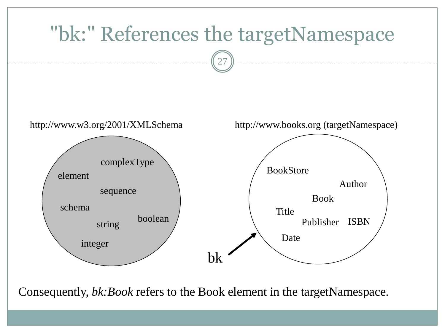

Consequently, *bk:Book* refers to the Book element in the targetNamespace.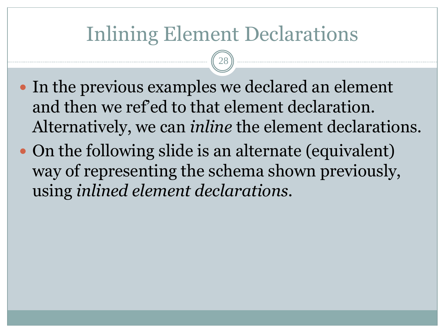## Inlining Element Declarations

28

- In the previous examples we declared an element and then we ref'ed to that element declaration. Alternatively, we can *inline* the element declarations.
- On the following slide is an alternate (equivalent) way of representing the schema shown previously, using *inlined element declarations*.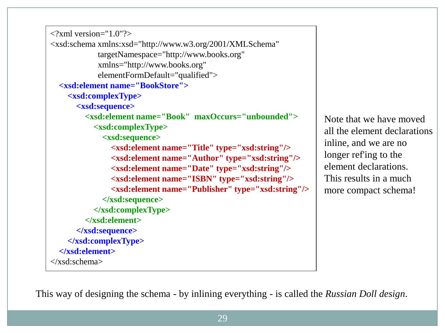```
\langle 2xml version="1.0"?>
<xsd:schema xmlns:xsd="http://www.w3.org/2001/XMLSchema"
             targetNamespace="http://www.books.org"
             xmlns="http://www.books.org"
             elementFormDefault="qualified">
   <xsd:element name="BookStore">
     <xsd:complexType>
       <xsd:sequence>
         <xsd:element name="Book" maxOccurs="unbounded">
           <xsd:complexType>
              <xsd:sequence>
                <xsd:element name="Title" type="xsd:string"/>
                <xsd:element name="Author" type="xsd:string"/>
                <xsd:element name="Date" type="xsd:string"/>
                <xsd:element name="ISBN" type="xsd:string"/>
                <xsd:element name="Publisher" type="xsd:string"/>
              </xsd:sequence>
            </xsd:complexType>
         </xsd:element>
       </xsd:sequence>
     </xsd:complexType>
   </xsd:element>
</xsd:schema>
```
Note that we have moved all the element declarations inline, and we are no longer ref'ing to the element declarations. This results in a much more compact schema!

This way of designing the schema - by inlining everything - is called the *Russian Doll design*.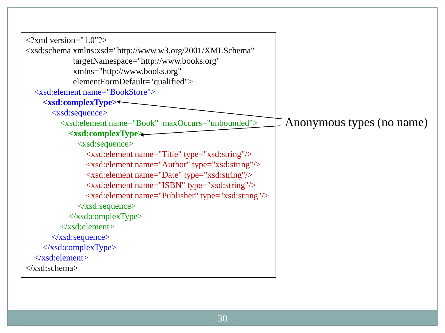| $\langle$ ?xml version="1.0"?>                                                             |                           |
|--------------------------------------------------------------------------------------------|---------------------------|
| <xsd:schema <="" td="" xmlns:xsd="http://www.w3.org/2001/XMLSchema"><td></td></xsd:schema> |                           |
| targetNamespace="http://www.books.org"                                                     |                           |
| xmlns="http://www.books.org"                                                               |                           |
| elementFormDefault="qualified">                                                            |                           |
| <xsd:element name="BookStore"></xsd:element>                                               |                           |
| <xsd:complextype><sup>←</sup></xsd:complextype>                                            |                           |
| $\langle xsd: sequence \rangle$                                                            |                           |
| <xsd:element maxoccurs="unbounded" name="Book"></xsd:element>                              | Anonymous types (no name) |
| $\langle xsd:complexType \rangle$                                                          |                           |
| $\langle xsd: sequence \rangle$                                                            |                           |
| <xsd:element name="Title" type="xsd:string"></xsd:element>                                 |                           |
| <xsd:element name="Author" type="xsd:string"></xsd:element>                                |                           |
| <xsd:element name="Date" type="xsd:string"></xsd:element>                                  |                           |
| <xsd:element name="ISBN" type="xsd:string"></xsd:element>                                  |                           |
| <xsd:element name="Publisher" type="xsd:string"></xsd:element>                             |                           |
| $\langle x\text{sd}:\text{sequence}\rangle$                                                |                           |
| $\langle x\text{sd:complexType}\rangle$                                                    |                           |
| $\langle xsd:element \rangle$                                                              |                           |
| $\langle xsd:sequence \rangle$                                                             |                           |
| $\langle x\text{sd:complexType}\rangle$                                                    |                           |
| $\langle xsd:element \rangle$                                                              |                           |
| $\langle x\text{sd:}$ schema>                                                              |                           |
|                                                                                            |                           |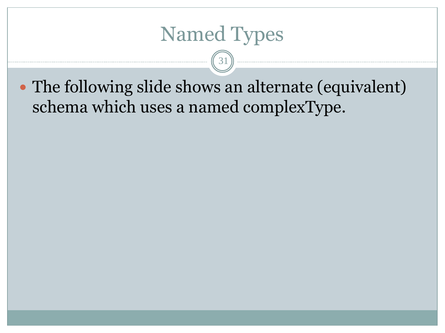### Named Types

31

• The following slide shows an alternate (equivalent) schema which uses a named complexType.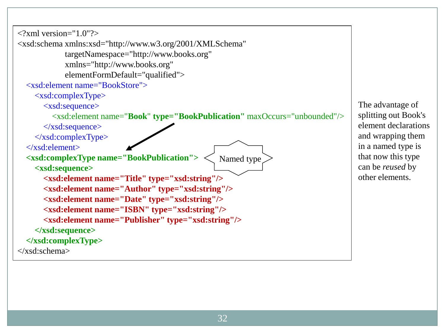$\langle$ ?xml version="1.0"?> <xsd:schema xmlns:xsd="http://www.w3.org/2001/XMLSchema" targetNamespace="http://www.books.org" xmlns="http://www.books.org" elementFormDefault="qualified"> <xsd:element name="BookStore"> <xsd:complexType> <xsd:sequence> <xsd:element name="**Book**" **type="BookPublication"** maxOccurs="unbounded"/> </xsd:sequence>  $\langle xsd:complexType \rangle$  </xsd:element> **<xsd:complexType name="BookPublication"> <xsd:sequence> <xsd:element name="Title" type="xsd:string"/> <xsd:element name="Author" type="xsd:string"/> <xsd:element name="Date" type="xsd:string"/> <xsd:element name="ISBN" type="xsd:string"/> <xsd:element name="Publisher" type="xsd:string"/> </xsd:sequence> </xsd:complexType>** </xsd:schema> Named type

The advantage of splitting out Book's element declarations and wrapping them in a named type is that now this type can be *reused* by other elements.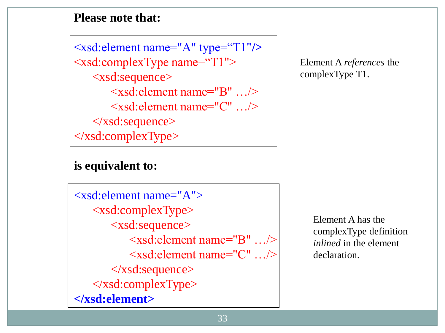#### **Please note that:**

<xsd:element name="A" type="T1"**/>** <xsd:complexType name="T1"> <xsd:sequence> <xsd:element name="B" …/> <xsd:element name="C" …/> </xsd:sequence> </xsd:complexType>

#### Element A *references* the complexType T1.

#### **is equivalent to:**

 $\langle x\bar{x}d:\bar{e}$  element name="A"> <xsd:complexType> <xsd:sequence> <xsd:element name="B" …/> <xsd:element name="C" …/>  $\langle x\text{sd}: \text{sequence} \rangle$  </xsd:complexType> **</xsd:element>**

Element A has the complexType definition *inlined* in the element declaration.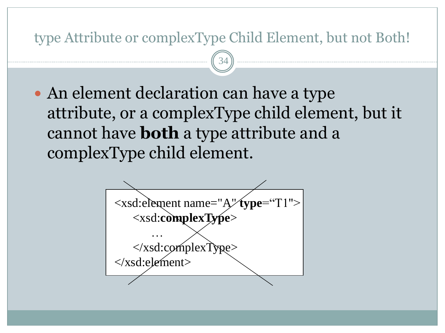#### type Attribute or complexType Child Element, but not Both!

34

 An element declaration can have a type attribute, or a complexType child element, but it cannot have **both** a type attribute and a complexType child element.

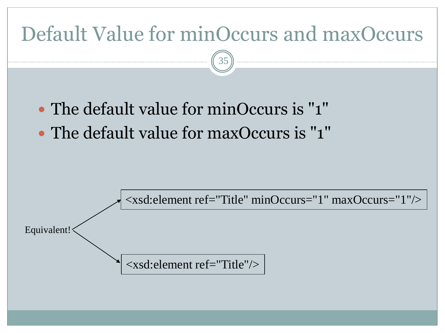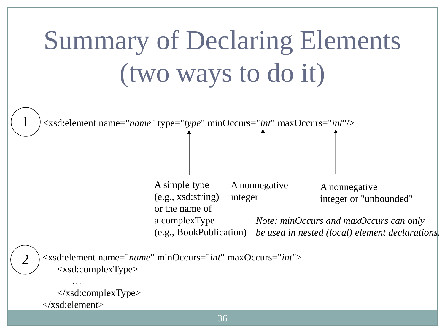# Summary of Declaring Elements (two ways to do it)



A simple type (e.g., xsd:string) or the name of a complexType (e.g., BookPublication) A nonnegative integer A nonnegative integer or "unbounded" *Note: minOccurs and maxOccurs can only be used in nested (local) element declarations.*

<xsd:element name="*name*" minOccurs="*int*" maxOccurs="*int*"> <xsd:complexType>

 …  $\langle x\text{sd:complexType}\rangle$ </xsd:element>

2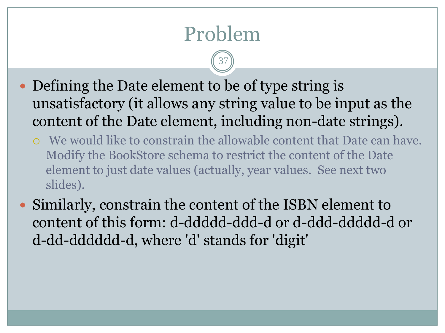## Problem

- Defining the Date element to be of type string is unsatisfactory (it allows any string value to be input as the content of the Date element, including non-date strings).
	- We would like to constrain the allowable content that Date can have. Modify the BookStore schema to restrict the content of the Date element to just date values (actually, year values. See next two slides).
- Similarly, constrain the content of the ISBN element to content of this form: d-ddddd-ddd-d or d-ddd-ddddd-d or d-dd-dddddd-d, where 'd' stands for 'digit'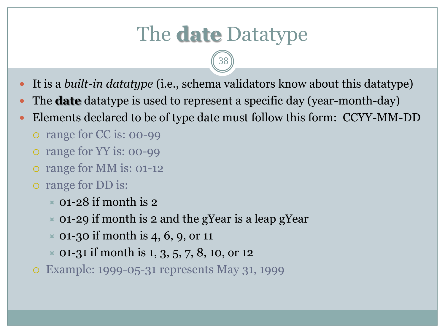## The **date** Datatype

- It is a *built-in datatype* (i.e., schema validators know about this datatype)
- The **date** datatype is used to represent a specific day (year-month-day)
- Elements declared to be of type date must follow this form: CCYY-MM-DD
	- o range for CC is: 00-99
	- o range for YY is: 00-99
	- o range for MM is: 01-12
	- range for DD is:
		- $\times$  01-28 if month is 2
		- $\approx$  01-29 if month is 2 and the gYear is a leap gYear
		- $\times$  01-30 if month is 4, 6, 9, or 11
		- $\times$  01-31 if month is 1, 3, 5, 7, 8, 10, or 12
	- Example: 1999-05-31 represents May 31, 1999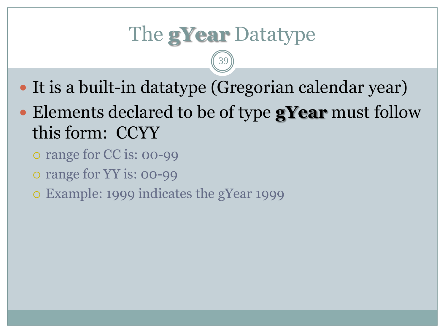## The **gYear** Datatype

- It is a built-in datatype (Gregorian calendar year)
- Elements declared to be of type **gYear** must follow this form: CCYY
	- o range for CC is: 00-99
	- o range for YY is: 00-99
	- Example: 1999 indicates the gYear 1999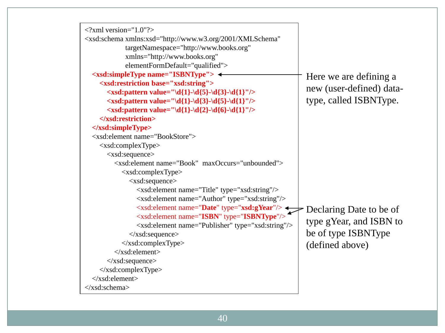| $\langle$ ?xml version="1.0"?><br><xsd:schema <br="" xmlns:xsd="http://www.w3.org/2001/XMLSchema">targetNamespace="http://www.books.org"<br/>xmlns="http://www.books.org"<br/>elementFormDefault="qualified"&gt;</xsd:schema> |                          |
|-------------------------------------------------------------------------------------------------------------------------------------------------------------------------------------------------------------------------------|--------------------------|
| <xsd:simpletype name="ISBNType"> ←<br/><xsd:restriction base="xsd:string"></xsd:restriction></xsd:simpletype>                                                                                                                 | Here we are defining a   |
| <xsd:pattern value="\d{1}-\d{5}-\d{3}-\d{1}"></xsd:pattern>                                                                                                                                                                   | new (user-defined) data- |
| <xsd:pattern value="\d{1}-\d{3}-\d{5}-\d{1}"></xsd:pattern>                                                                                                                                                                   | type, called ISBNType.   |
| $\langle x \rangle$ < xsd: pattern value="\d{1}-\d{2}-\d{6}-\d{1}"/>                                                                                                                                                          |                          |
|                                                                                                                                                                                                                               |                          |
| $\langle xsd: simpleType \rangle$                                                                                                                                                                                             |                          |
| <xsd:element name="BookStore"></xsd:element>                                                                                                                                                                                  |                          |
| <xsd:complextype></xsd:complextype>                                                                                                                                                                                           |                          |
| $\langle xsd: sequence \rangle$                                                                                                                                                                                               |                          |
| <xsd:element maxoccurs="unbounded" name="Book"></xsd:element>                                                                                                                                                                 |                          |
| <xsd:complextype></xsd:complextype>                                                                                                                                                                                           |                          |
| <xsd:sequence></xsd:sequence>                                                                                                                                                                                                 |                          |
| <xsd:element name="Title" type="xsd:string"></xsd:element>                                                                                                                                                                    |                          |
| <xsd:element name="Author" type="xsd:string"></xsd:element>                                                                                                                                                                   |                          |
| <xsd:element name="Date" type="xsd:gYear"></xsd:element> Declaring Date to be of                                                                                                                                              |                          |
| <xsd:element name="ISBN" type="ISBNType"></xsd:element>                                                                                                                                                                       | type gYear, and ISBN to  |
| <xsd:element name="Publisher" type="xsd:string"></xsd:element>                                                                                                                                                                | be of type ISBNType      |
| $\langle xsd: sequence \rangle$<br>$\langle xsd:complexType \rangle$                                                                                                                                                          |                          |
| $\langle xsd:element \rangle$                                                                                                                                                                                                 | (defined above)          |
| $\langle xsd: sequence \rangle$                                                                                                                                                                                               |                          |
| $\langle xsd:complexType \rangle$                                                                                                                                                                                             |                          |
| $\langle xsd:element \rangle$                                                                                                                                                                                                 |                          |
| $\langle xsd:schema \rangle$                                                                                                                                                                                                  |                          |
|                                                                                                                                                                                                                               |                          |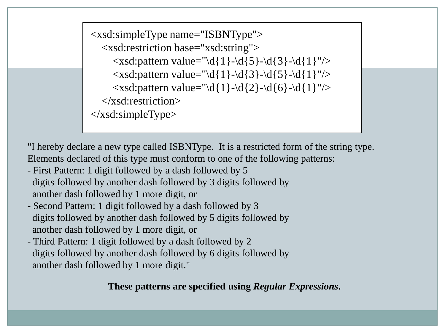```
\langle xsd: pattern value="\d{1}-\d{5}-\d{3}-\d{1}"/>
<xsd:simpleType name="ISBNType">
   <xsd:restriction base="xsd:string">
     \langle x\bar{x}d: pattern value="\d{1}-\d{3}-\d{5}-\d{1}"/>
     \langle x\bar{x}d\hat{z}:pattern value="\d{1}-\d{2}-\d{6}-\d{1}"/>
   </xsd:restriction>
</xsd:simpleType>
```
"I hereby declare a new type called ISBNType. It is a restricted form of the string type. Elements declared of this type must conform to one of the following patterns:

- First Pattern: 1 digit followed by a dash followed by 5 digits followed by another dash followed by 3 digits followed by another dash followed by 1 more digit, or
- Second Pattern: 1 digit followed by a dash followed by 3 digits followed by another dash followed by 5 digits followed by another dash followed by 1 more digit, or
- Third Pattern: 1 digit followed by a dash followed by 2 digits followed by another dash followed by 6 digits followed by another dash followed by 1 more digit."

**These patterns are specified using** *Regular Expressions***.**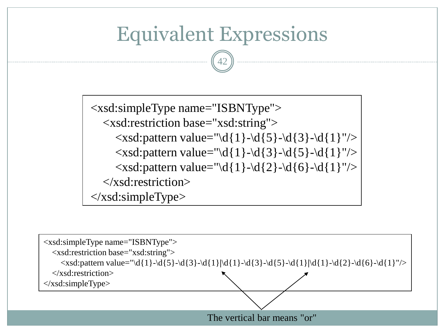### Equivalent Expressions

42

<xsd:simpleType name="ISBNType"> <xsd:restriction base="xsd:string">  $\langle x\bar{x}\rangle = \langle x\bar{x}\rangle + \langle x\bar{y}\rangle = \langle y\bar{z}\rangle - \langle z\bar{z}\rangle - \langle z\bar{z}\rangle - \langle z\bar{z}\rangle - \langle z\bar{z}\rangle$  $\langle xsd:pattern value="\ddot{1}-\ddot{3}-\ddot{5}-\ddot{1}''\rangle$  $\langle x\bar{x}$ d:pattern value="\d{1}-\d{2}-\d{6}-\d{1}"/> </xsd:restriction>  $\langle xsd:simpleType\rangle$ 

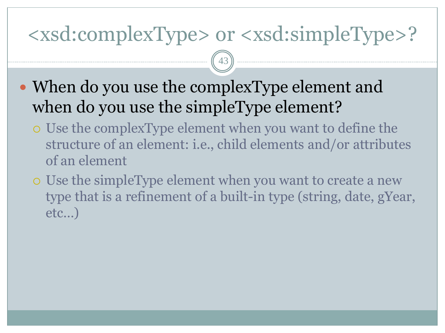### <xsd:complexType> or <xsd:simpleType>?

- When do you use the complexType element and when do you use the simpleType element?
	- Use the complexType element when you want to define the structure of an element: i.e., child elements and/or attributes of an element
	- Use the simpleType element when you want to create a new type that is a refinement of a built-in type (string, date, gYear, etc…)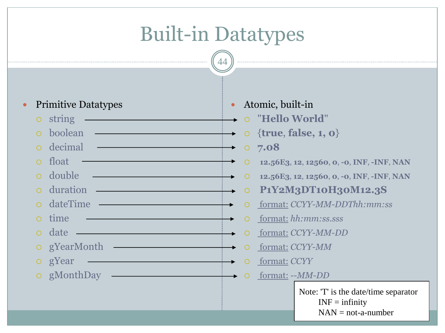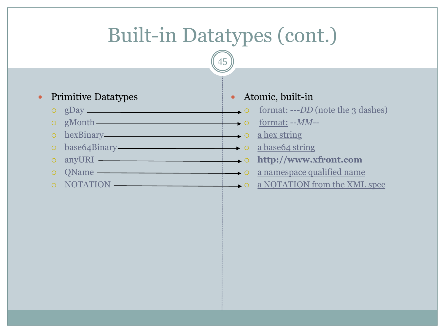## Built-in Datatypes (cont.)

45

### • Primitive Datatypes

- $\circ$  gDay  $\qquad \qquad$  0
- 
- $\circ$  hexBinary  $\overline{\hspace{1cm}}$  hexBinary
- base64Binary a base64 string
- 
- 
- 

### Atomic, built-in

- format: ---*DD* (note the 3 dashes)
- gMonth format: --*MM--*
	-
	-
- anyURI **http://www.xfront.com**
- o QName  $\longrightarrow$   $\qquad$  a namespace qualified name
- o NOTATION  $\longrightarrow$  a NOTATION from the XML spec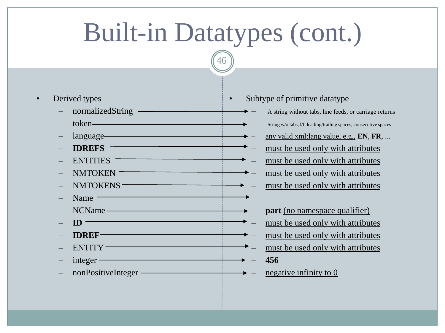# Built-in Datatypes (cont.)

46

- Derived types
	- normalizedString —
	- token
	- language
	- **IDREFS**
	- ENTITIES
	- NMTOKEN<sup>-</sup>
	- NMTOKENS
	- Name —
	- NCName
	- $\mathbf{ID}$
	- **IDREF**
	- ENTITY
	- integer
	- nonPositiveInteger ————————————————————

### Subtype of primitive datatype

- A string without tabs, line feeds, or carriage returns
- String w/o tabs, l/f, leading/trailing spaces, consecutive spaces
- any valid xml:lang value, e.g., **EN**, **FR**, ...
- must be used only with attributes
- must be used only with attributes
- must be used only with attributes
- must be used only with attributes
- **part** (no namespace qualifier)
	- must be used only with attributes
	- must be used only with attributes
	- must be used only with attributes – **456**
- negative infinity to  $0$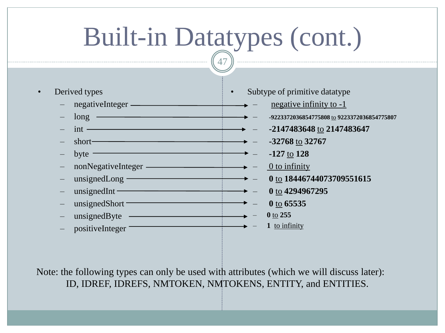# Built-in Datatypes (cont.)

47

- Derived types
	- negativeInteger
	- long ————————————————————
	- $-$  int  $-$
	- $\rightarrow$  **-32768** to **32767**
	- $b$ yte  $\overline{\phantom{a}}$
	- nonNegativeInteger
	- unsignedLong
	- unsignedInt ————————————————————
	- unsignedShort
	- $-$  unsignedByte  $-$
	- positiveInteger
- Subtype of primitive datatype
	- $\rightarrow$  negative infinity to -1
- $\longrightarrow$  -9223372036854775808 to **9223372036854775807**
- $\longrightarrow$  2147483648 to 2147483647
	-
	- $\rightarrow -127$  to 128
- $\longrightarrow -$  0 to infinity
	- $\longrightarrow$  **0** to **18446744073709551615** 
		- $\rightarrow$  0 to 4294967295
			- **0** to **65535**
			- **0** to **255**
			- **1** to infinity

Note: the following types can only be used with attributes (which we will discuss later): ID, IDREF, IDREFS, NMTOKEN, NMTOKENS, ENTITY, and ENTITIES.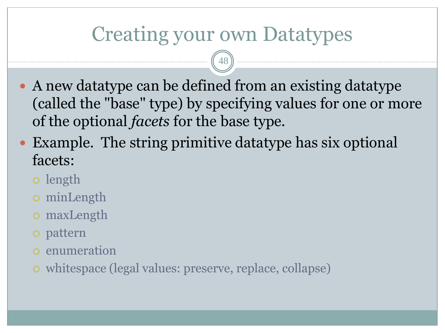### Creating your own Datatypes

- A new datatype can be defined from an existing datatype (called the "base" type) by specifying values for one or more of the optional *facets* for the base type.
- Example. The string primitive datatype has six optional facets:
	- length
	- minLength
	- maxLength
	- pattern
	- enumeration
	- whitespace (legal values: preserve, replace, collapse)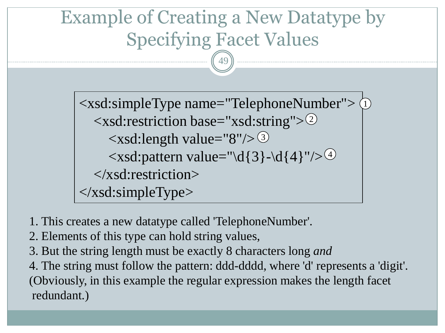### Example of Creating a New Datatype by Specifying Facet Values

49

<xsd:simpleType name="TelephoneNumber"> 1  $\langle xsd:restriction base="xsd:string" \rangle^2$  $\langle xsd: length \ value = "8" / > 3$  $\langle xsd:$  pattern value="\d{3}-\d{4}"/>  $\frac{4}{4}$  </xsd:restriction> </xsd:simpleType>

- 1. This creates a new datatype called 'TelephoneNumber'.
- 2. Elements of this type can hold string values,
- 3. But the string length must be exactly 8 characters long *and*

4. The string must follow the pattern: ddd-dddd, where 'd' represents a 'digit'. (Obviously, in this example the regular expression makes the length facet redundant.)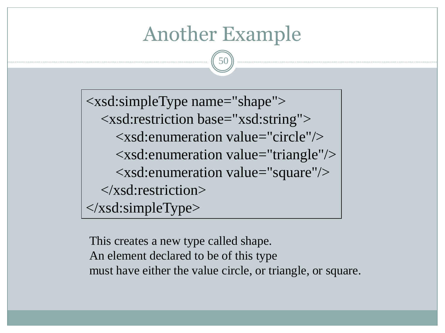### Another Example

50

<xsd:simpleType name="shape"> <xsd:restriction base="xsd:string"> <xsd:enumeration value="circle"/> <xsd:enumeration value="triangle"/> <xsd:enumeration value="square"/> </xsd:restriction> </xsd:simpleType>

This creates a new type called shape. An element declared to be of this type must have either the value circle, or triangle, or square.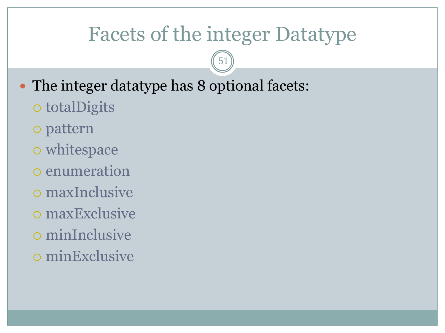### Facets of the integer Datatype

- The integer datatype has 8 optional facets:
	- o totalDigits
	- pattern
	- o whitespace
	- o enumeration
	- maxInclusive
	- maxExclusive
	- minInclusive
	- minExclusive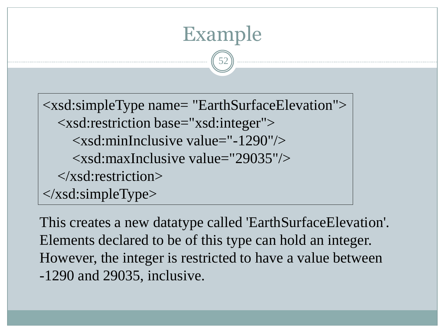## <xsd:simpleType name= "EarthSurfaceElevation"> <xsd:restriction base="xsd:integer"> <xsd:minInclusive value="-1290"/> <xsd:maxInclusive value="29035"/> </xsd:restriction> </xsd:simpleType>

Example

52

This creates a new datatype called 'EarthSurfaceElevation'. Elements declared to be of this type can hold an integer. However, the integer is restricted to have a value between -1290 and 29035, inclusive.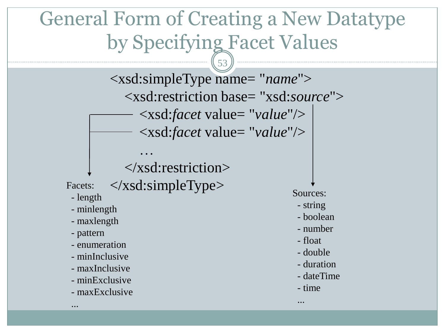### General Form of Creating a New Datatype by Specifying Facet Values

53

<xsd:simpleType name= "*name*"> <xsd:restriction base= "xsd:*source*"> <xsd:*facet* value= "*value*"/> <xsd:*facet* value= "*value*"/>

### </xsd:restriction>

…

Facets: </xsd:simpleType>

- length
- minlength
- maxlength
- pattern

...

- enumeration
- minInclusive
- maxInclusive
- minExclusive
- maxExclusive

Sources:

- string
- boolean
- number
- float
- double
- duration
- dateTime
- time

...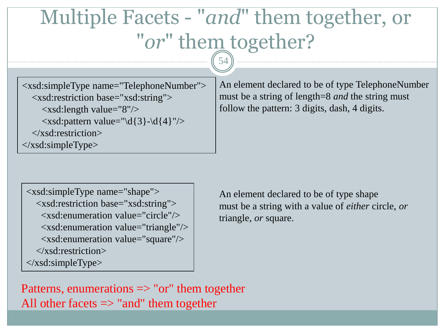## Multiple Facets - "*and*" them together, or "*or*" them together?

54

<xsd:simpleType name="TelephoneNumber"> <xsd:restriction base="xsd:string"> <xsd:length value="8"/>  $\langle x\bar{x}d$ : pattern value="\d{3}-\d{4}"/>  $\langle x\$ sd:restriction> </xsd:simpleType>

An element declared to be of type TelephoneNumber must be a string of length=8 *and* the string must follow the pattern: 3 digits, dash, 4 digits.

<xsd:simpleType name="shape"> <xsd:restriction base="xsd:string"> <xsd:enumeration value="circle"/> <xsd:enumeration value="triangle"/> <xsd:enumeration value="square"/> </xsd:restriction> </xsd:simpleType>

An element declared to be of type shape must be a string with a value of *either* circle, *or* triangle, *or* square.

Patterns, enumerations  $\Rightarrow$  "or" them together All other facets  $\Rightarrow$  "and" them together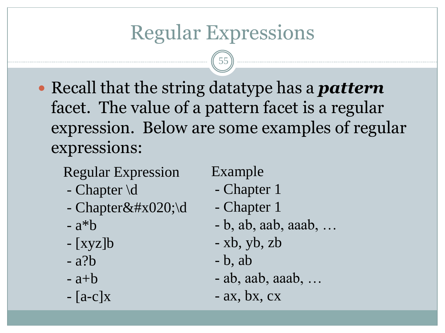## Regular Expressions

55

 Recall that the string datatype has a *pattern*  facet. The value of a pattern facet is a regular expression. Below are some examples of regular expressions:

Regular Expression

- Chapter \d
- Chapter $\&\#x020;\$
- $-$  a<sup>\*</sup>b
- [xyz]b
- a?b
- $-$ a+b
- $-[a-c]X$

Example

- Chapter 1
- Chapter 1
- b, ab, aab, aaab, …
- xb, yb, zb
- b, ab
- ab, aab, aaab, …
- $-$  ax, bx, cx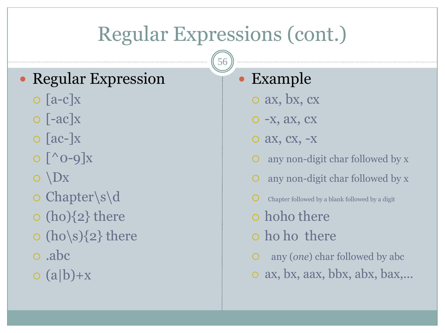## Regular Expressions (cont.)

56

### Regular Expression

- $\circ$  [a-c]x
- $\circ$  [-ac] $x$
- $\circ$  [ac-]x
- $\circ$   $\lceil$  ^ 0-9 $\rceil$ x
- $\circ$   $\Delta$
- Chapter\s\d
- $\circ$  (ho) $\{2\}$  there
- $\circ$  (ho\s) $\{2\}$  there
- .abc
- $o(a|b)+x$

### Example

- ax, bx, cx
- -x, ax, cx
- ax, cx, -x
- any non-digit char followed by x
- any non-digit char followed by x
- Chapter followed by a blank followed by a digit
- hoho there
- ho ho there
- any (*one*) char followed by abc
- ax, bx, aax, bbx, abx, bax,...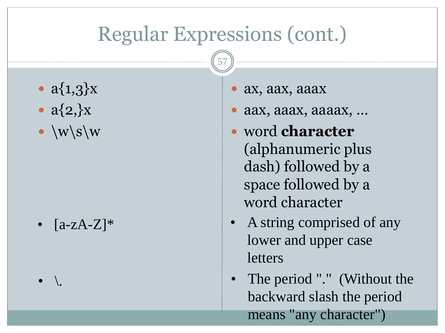### Regular Expressions (cont.)

- $a\{1,3\}x$
- $a\{2\}$
- $\bullet$  \w\s\w

- ax, aax, aaax
- aax, aaax, aaaax, …
- word **character** (alphanumeric plus dash) followed by a space followed by a word character
- $[a-zA-Z]$ <sup>\*</sup> A string comprised of any lower and upper case letters
	- The period "." (Without the backward slash the period means "any character")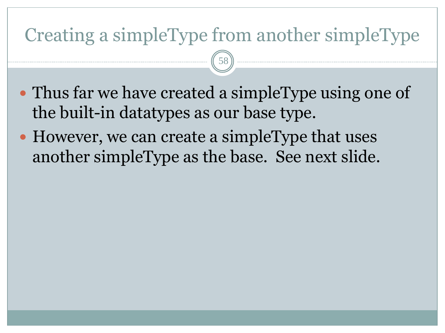### Creating a simpleType from another simpleType

- Thus far we have created a simpleType using one of the built-in datatypes as our base type.
- However, we can create a simpleType that uses another simpleType as the base. See next slide.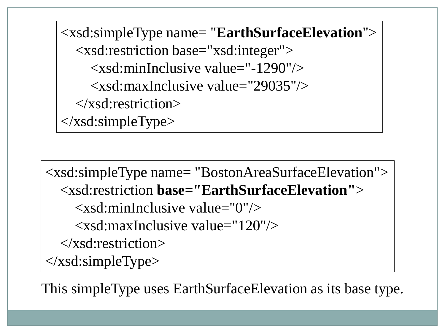<xsd:simpleType name= "**EarthSurfaceElevation**"> <xsd:restriction base="xsd:integer"> <xsd:minInclusive value="-1290"/> <xsd:maxInclusive value="29035"/> </xsd:restriction> </xsd:simpleType>

<xsd:simpleType name= "BostonAreaSurfaceElevation"> <xsd:restriction **base="EarthSurfaceElevation"**>  $\langle x \rangle$  states inclusive value="0"/>  $\langle x \rangle$ sd:maxInclusive value="120"/ $>$  </xsd:restriction>  $\langle xsd:simpleType\rangle$ 

This simpleType uses EarthSurfaceElevation as its base type.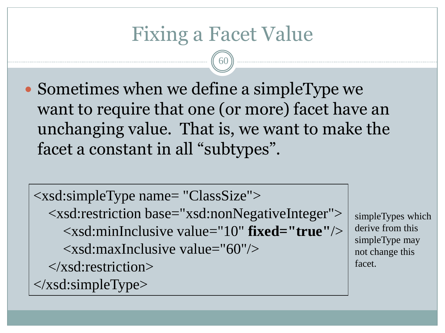### Fixing a Facet Value

60

 Sometimes when we define a simpleType we want to require that one (or more) facet have an unchanging value. That is, we want to make the facet a constant in all "subtypes".

<xsd:simpleType name= "ClassSize"> <xsd:restriction base="xsd:nonNegativeInteger"> <xsd:minInclusive value="10" **fixed="true"**/>  $\langle x\text{sd:maxInclusive value} = "60" \rangle$  </xsd:restriction>  $\langle x\text{sd}:\text{simpleType}\rangle$ 

simpleTypes which derive from this simpleType may not change this facet.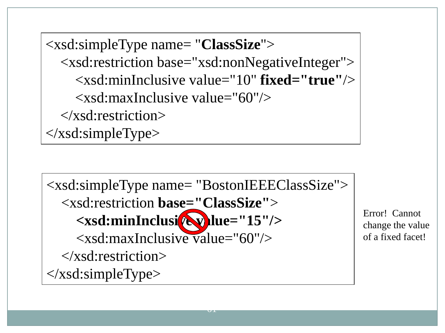<xsd:simpleType name= "**ClassSize**"> <xsd:restriction base="xsd:nonNegativeInteger"> <xsd:minInclusive value="10" **fixed="true"**/>  $\langle x\text{sd}:\text{maxInclusive value} = "60" \rangle$  </xsd:restriction> </xsd:simpleType>

<xsd:simpleType name= "BostonIEEEClassSize"> <xsd:restriction **base="ClassSize"**> <xsd:minInclusi<sup>te</sup> v lue="15"/> <xsd:maxInclusive value="60"/> </xsd:restriction> </xsd:simpleType>

 $\overline{\mathbf{v}}$ 

Error! Cannot change the value of a fixed facet!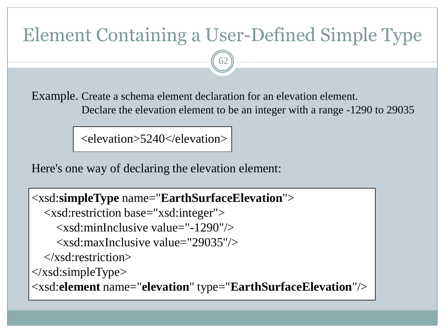### Element Containing a User-Defined Simple Type

62

Example. Create a schema element declaration for an elevation element. Declare the elevation element to be an integer with a range -1290 to 29035

<elevation>5240</elevation>

Here's one way of declaring the elevation element:

<xsd:**simpleType** name="**EarthSurfaceElevation**"> <xsd:restriction base="xsd:integer">  $\langle x\text{sd:minInclusive value} = "1290" \rangle$  $\langle x\bar{x}d$ : maxInclusive value="29035"/ $>$  $\langle x\$ sd:restriction $\rangle$ </xsd:simpleType> <xsd:**element** name="**elevation**" type="**EarthSurfaceElevation**"/>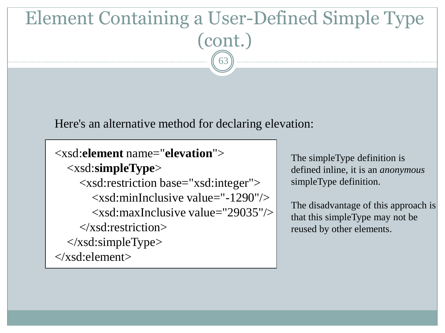### Element Containing a User-Defined Simple Type (cont.) 63

Here's an alternative method for declaring elevation:

```
<xsd:element name="elevation">
   <xsd:simpleType>
      <xsd:restriction base="xsd:integer">
       \langle x \ranglesd:minInclusive value="-1290"/> <xsd:maxInclusive value="29035"/>
      </xsd:restriction>
   </xsd:simpleType>
</xsd:element>
```
The simpleType definition is defined inline, it is an *anonymous* simpleType definition.

The disadvantage of this approach is that this simpleType may not be reused by other elements.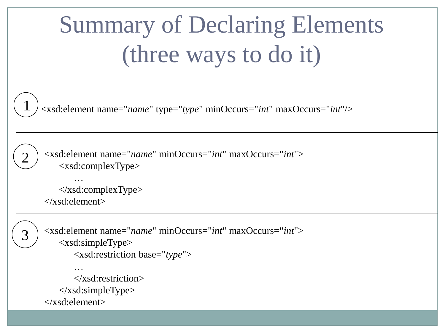# Summary of Declaring Elements (three ways to do it)

<xsd:element name="*name*" type="*type*" minOccurs="*int*" maxOccurs="*int*"/>

<xsd:element name="*name*" minOccurs="*int*" maxOccurs="*int*"> <xsd:complexType>

 …  $\langle x\text{sd:complexType}\rangle$ </xsd:element>

3

1

2

<xsd:element name="*name*" minOccurs="*int*" maxOccurs="*int*"> <xsd:simpleType> <xsd:restriction base="*type*"> …

 $\langle x\$ sd:restriction>  $\langle xsd:simpleType\rangle$ </xsd:element>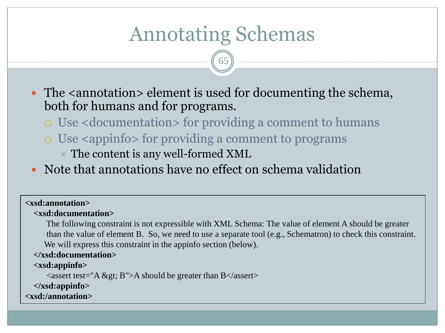### Annotating Schemas

65

• The  $\alpha$  -  $\alpha$  annotation  $\alpha$  element is used for documenting the schema, both for humans and for programs.

- Use <documentation> for providing a comment to humans
- Use <appinfo> for providing a comment to programs
	- $\times$  The content is any well-formed XML
- Note that annotations have no effect on schema validation

#### **<xsd:annotation>**

#### **<xsd:documentation>**

 The following constraint is not expressible with XML Schema: The value of element A should be greater than the value of element B. So, we need to use a separate tool (e.g., Schematron) to check this constraint. We will express this constraint in the appinfo section (below).

#### **</xsd:documentation>**

#### **<xsd:appinfo>**

 $\langle$  assert test="A > B">A should be greater than B $\langle$ /assert>

**</xsd:appinfo>**

**<xsd:/annotation>**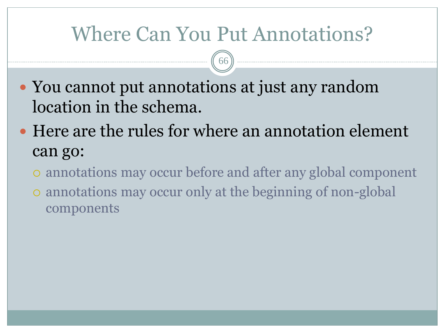### Where Can You Put Annotations?

- You cannot put annotations at just any random location in the schema.
- Here are the rules for where an annotation element can go:
	- annotations may occur before and after any global component
	- annotations may occur only at the beginning of non-global components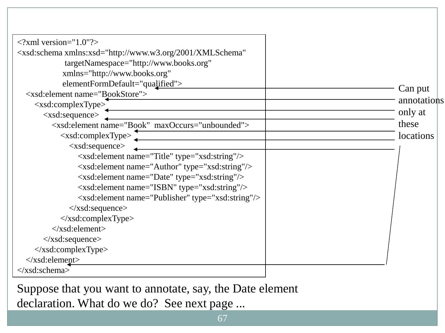| $\langle$ ?xml version="1.0"?>                                                             |             |
|--------------------------------------------------------------------------------------------|-------------|
| <xsd:schema <="" td="" xmlns:xsd="http://www.w3.org/2001/XMLSchema"><td></td></xsd:schema> |             |
| targetNamespace="http://www.books.org"                                                     |             |
| xmlns="http://www.books.org"                                                               |             |
| elementFormDefault="qualified">                                                            | Can put     |
| <xsd:element name="BookStore"></xsd:element>                                               |             |
| <xsd:complextype></xsd:complextype>                                                        | annotations |
| $\langle xsd: sequence \rangle$                                                            | only at     |
| <xsd:element maxoccurs="unbounded" name="Book"></xsd:element>                              | these       |
| $\langle xsd:complexType \rangle$                                                          | locations   |
| $\langle xsd: sequence \rangle$                                                            |             |
| <xsd:element name="Title" type="xsd:string"></xsd:element>                                 |             |
| <xsd:element name="Author" type="xsd:string"></xsd:element>                                |             |
| <xsd:element name="Date" type="xsd:string"></xsd:element>                                  |             |
| <xsd:element name="ISBN" type="xsd:string"></xsd:element>                                  |             |
| <xsd:element name="Publisher" type="xsd:string"></xsd:element>                             |             |
| $\langle xsd: sequence \rangle$                                                            |             |
| $\langle x\text{sd:complexType}\rangle$                                                    |             |
| $\langle x\text{sd}:\text{element}\rangle$                                                 |             |
| $\langle xsd: sequence \rangle$                                                            |             |
| $\langle x\text{sd:complexType}\rangle$                                                    |             |
| $\langle xsd:element \rangle$                                                              |             |
| $\langle xsd:schema \rangle$                                                               |             |

Suppose that you want to annotate, say, the Date element declaration. What do we do? See next page ...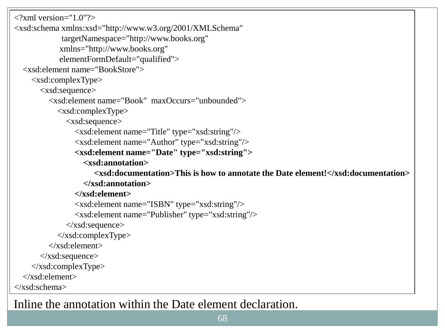```
\langle 2xml version="1.0"?>
<xsd:schema xmlns:xsd="http://www.w3.org/2001/XMLSchema"
             targetNamespace="http://www.books.org"
             xmlns="http://www.books.org"
             elementFormDefault="qualified">
   <xsd:element name="BookStore">
     <xsd:complexType>
       <xsd:sequence>
          <xsd:element name="Book" maxOccurs="unbounded">
            <xsd:complexType>
              <xsd:sequence>
                 <xsd:element name="Title" type="xsd:string"/>
                 <xsd:element name="Author" type="xsd:string"/>
                 <xsd:element name="Date" type="xsd:string">
                   <xsd:annotation>
                      <xsd:documentation>This is how to annotate the Date element!</xsd:documentation>
                   </xsd:annotation>
                 </xsd:element>
                 <xsd:element name="ISBN" type="xsd:string"/>
                 <xsd:element name="Publisher" type="xsd:string"/>
              </xsd:sequence>
            </xsd:complexType>
          </xsd:element>
       </xsd:sequence>
     </xsd:complexType>
   </xsd:element>
</xsd:schema>
```
68

Inline the annotation within the Date element declaration.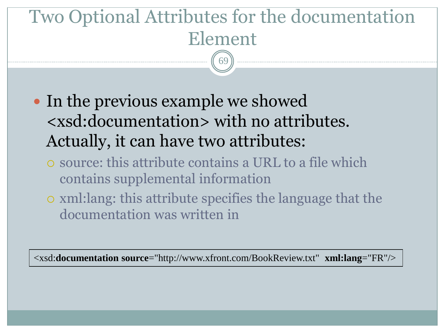## Two Optional Attributes for the documentation Element

69

- In the previous example we showed <xsd:documentation> with no attributes. Actually, it can have two attributes:
	- source: this attribute contains a URL to a file which contains supplemental information
	- xml:lang: this attribute specifies the language that the documentation was written in

<xsd:**documentation source**="http://www.xfront.com/BookReview.txt" **xml:lang**="FR"/>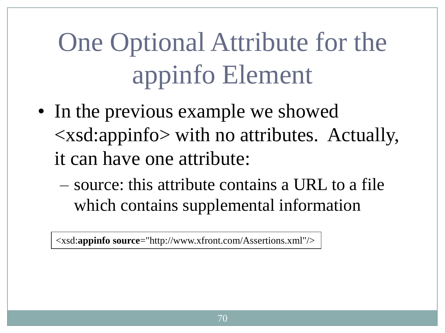# One Optional Attribute for the appinfo Element

- In the previous example we showed <xsd:appinfo> with no attributes. Actually, it can have one attribute:
	- source: this attribute contains a URL to a file which contains supplemental information

<xsd:**appinfo source**="http://www.xfront.com/Assertions.xml"/>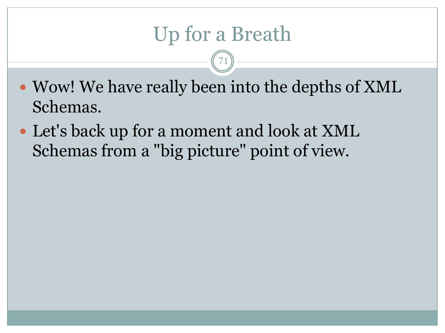### Up for a Breath

- Wow! We have really been into the depths of XML Schemas.
- Let's back up for a moment and look at XML Schemas from a "big picture" point of view.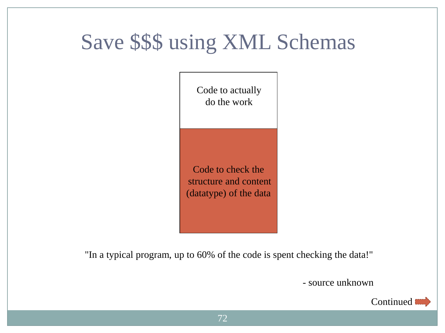## Save \$\$\$ using XML Schemas

Code to actually do the work

Code to check the structure and content (datatype) of the data

"In a typical program, up to 60% of the code is spent checking the data!"

- source unknown

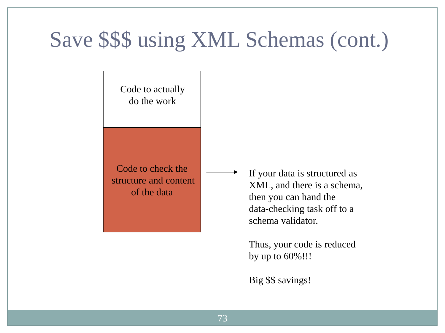#### Save \$\$\$ using XML Schemas (cont.)

Code to actually do the work

Code to check the structure and content of the data

If your data is structured as XML, and there is a schema, then you can hand the data-checking task off to a schema validator.

Thus, your code is reduced by up to 60%!!!

Big \$\$ savings!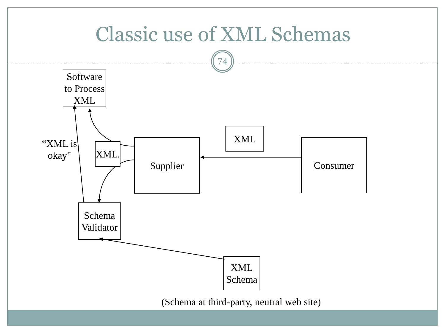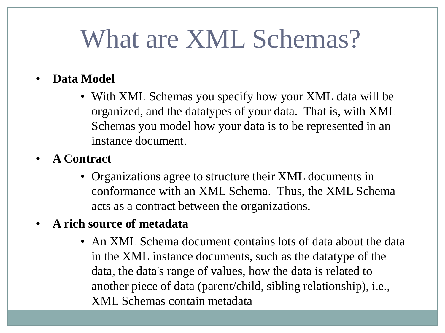## What are XML Schemas?

#### • **Data Model**

- With XML Schemas you specify how your XML data will be organized, and the datatypes of your data. That is, with XML Schemas you model how your data is to be represented in an instance document.
- **A Contract**
	- Organizations agree to structure their XML documents in conformance with an XML Schema. Thus, the XML Schema acts as a contract between the organizations.

#### • **A rich source of metadata**

75 XML Schemas contain metadata• An XML Schema document contains lots of data about the data in the XML instance documents, such as the datatype of the data, the data's range of values, how the data is related to another piece of data (parent/child, sibling relationship), i.e.,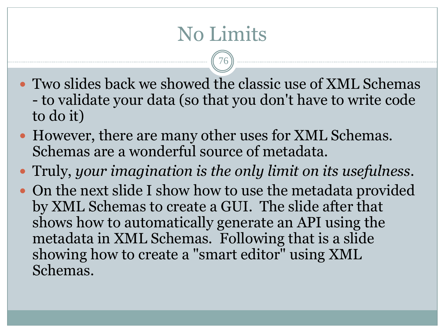### No Limits

76

- Two slides back we showed the classic use of XML Schemas - to validate your data (so that you don't have to write code to do it)
- However, there are many other uses for XML Schemas. Schemas are a wonderful source of metadata.
- Truly, *your imagination is the only limit on its usefulness*.
- On the next slide I show how to use the metadata provided by XML Schemas to create a GUI. The slide after that shows how to automatically generate an API using the metadata in XML Schemas. Following that is a slide showing how to create a "smart editor" using XML Schemas.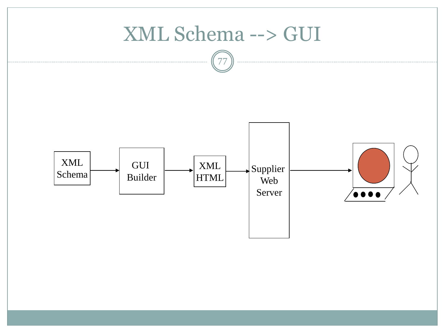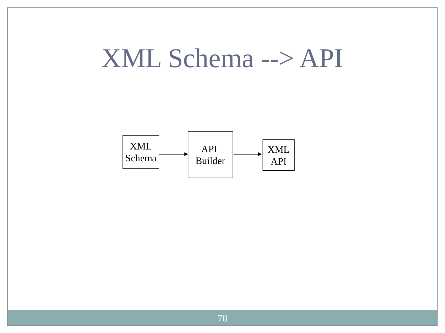## XML Schema --> API

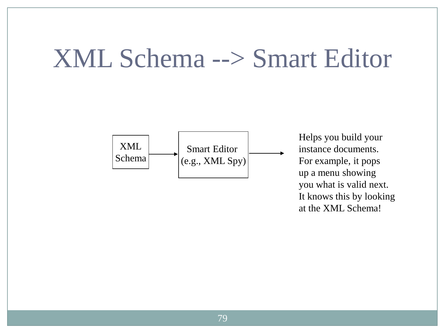## XML Schema --> Smart Editor



Helps you build your instance documents. For example, it pops up a menu showing you what is valid next. It knows this by looking at the XML Schema!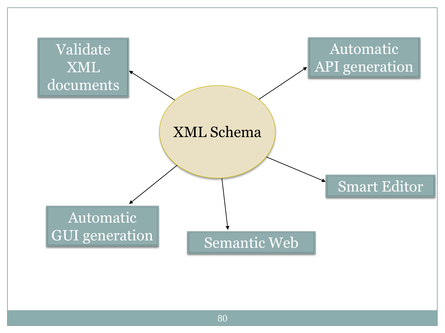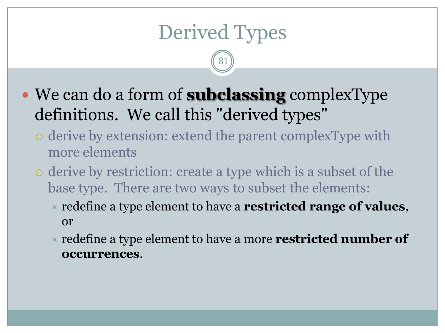#### Derived Types

81

- We can do a form of **subclassing** complexType definitions. We call this "derived types"
	- derive by extension: extend the parent complexType with more elements
	- derive by restriction: create a type which is a subset of the base type. There are two ways to subset the elements:
		- redefine a type element to have a **restricted range of values**, or
		- redefine a type element to have a more **restricted number of occurrences**.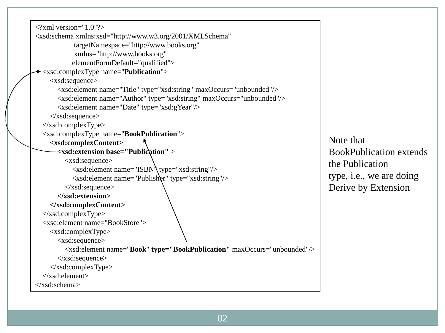```
\langle 2xml version="1.0"?>
<xsd:schema xmlns:xsd="http://www.w3.org/2001/XMLSchema"
             targetNamespace="http://www.books.org"
             xmlns="http://www.books.org"
            elementFormDefault="qualified">
 <xsd:complexType name="Publication">
     <xsd:sequence>
        <xsd:element name="Title" type="xsd:string" maxOccurs="unbounded"/>
        <xsd:element name="Author" type="xsd:string" maxOccurs="unbounded"/>
        <xsd:element name="Date" type="xsd:gYear"/>
     </xsd:sequence>
   </xsd:complexType>
   <xsd:complexType name="BookPublication">
     <xsd:complexContent>
        <xsd:extension base="Publication" >
          <xsd:sequence>
            <xsd:element name="ISBN" type="xsd:string"/>
            <xsd:element name="Publisher" type="xsd:string"/>
          </xsd:sequence>
       </xsd:extension>
     </xsd:complexContent>
  \langle x\text{sd:complexType}\rangle <xsd:element name="BookStore">
     <xsd:complexType>
       <xsd:sequence>
          <xsd:element name="Book" type="BookPublication" maxOccurs="unbounded"/>
       </xsd:sequence>
     </xsd:complexType>
   </xsd:element>
</xsd:schema>
```
Note that BookPublication extends the Publication type, i.e., we are doing Derive by Extension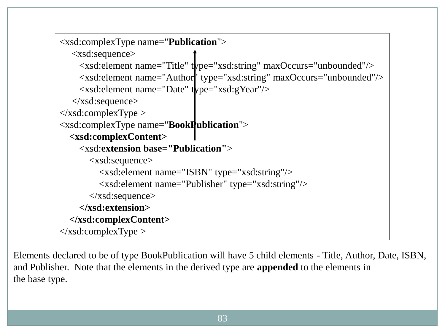```
<xsd:complexType name="Publication">
   <xsd:sequence>
     <xsd:element name="Title" type="xsd:string" maxOccurs="unbounded"/>
     <xsd:element name="Author" type="xsd:string" maxOccurs="unbounded"/>
     <xsd:element name="Date" type="xsd:gYear"/>
   </xsd:sequence>
\langle x\text{sd:complexType}\rangle<xsd:complexType name="BookPublication">
   <xsd:complexContent>
     <xsd:extension base="Publication">
        <xsd:sequence>
          <xsd:element name="ISBN" type="xsd:string"/>
          <xsd:element name="Publisher" type="xsd:string"/>
        </xsd:sequence>
     </xsd:extension>
   </xsd:complexContent>
\langle x\text{sd:complexType}\rangle
```
Elements declared to be of type BookPublication will have 5 child elements - Title, Author, Date, ISBN, and Publisher. Note that the elements in the derived type are **appended** to the elements in the base type.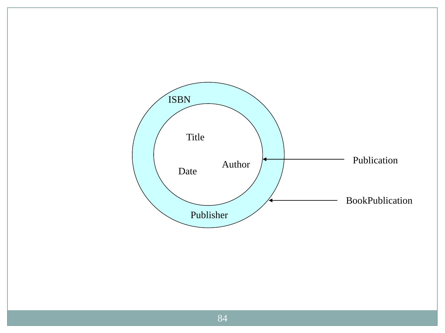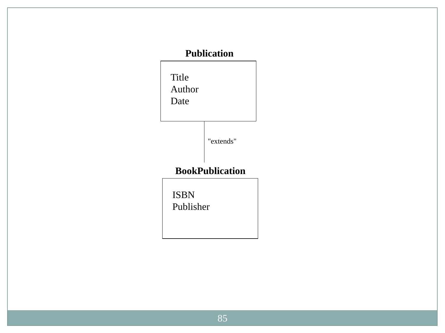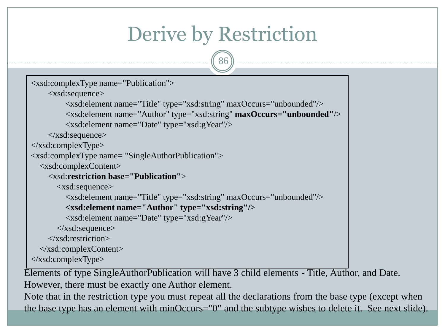#### Derive by Restriction

86

```
<xsd:complexType name="Publication">
     <xsd:sequence>
          <xsd:element name="Title" type="xsd:string" maxOccurs="unbounded"/>
          <xsd:element name="Author" type="xsd:string" maxOccurs="unbounded"/>
          <xsd:element name="Date" type="xsd:gYear"/>
     </xsd:sequence>
\langle x\text{sd:complexType}\rangle<xsd:complexType name= "SingleAuthorPublication">
   <xsd:complexContent>
     <xsd:restriction base="Publication">
        <xsd:sequence>
          <xsd:element name="Title" type="xsd:string" maxOccurs="unbounded"/>
          <xsd:element name="Author" type="xsd:string"/>
          <xsd:element name="Date" type="xsd:gYear"/>
        </xsd:sequence>
     </xsd:restriction>
   </xsd:complexContent>
\langle x\text{sd:complexType}\rangle
```
Elements of type SingleAuthorPublication will have 3 child elements - Title, Author, and Date. However, there must be exactly one Author element.

Note that in the restriction type you must repeat all the declarations from the base type (except when the base type has an element with minOccurs="0" and the subtype wishes to delete it. See next slide).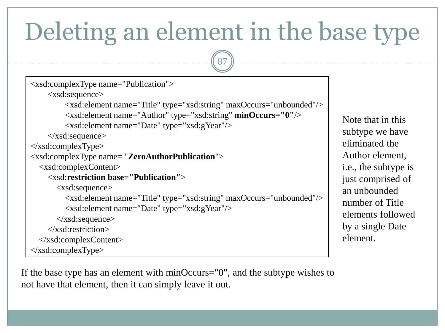## Deleting an element in the base type

87

```
<xsd:complexType name="Publication">
     <xsd:sequence>
          <xsd:element name="Title" type="xsd:string" maxOccurs="unbounded"/>
          <xsd:element name="Author" type="xsd:string" minOccurs="0"/>
          <xsd:element name="Date" type="xsd:gYear"/>
     </xsd:sequence>
\langle x\text{sd:complexType}\rangle<xsd:complexType name= "ZeroAuthorPublication">
   <xsd:complexContent>
     <xsd:restriction base="Publication">
        <xsd:sequence>
          <xsd:element name="Title" type="xsd:string" maxOccurs="unbounded"/>
          <xsd:element name="Date" type="xsd:gYear"/>
        </xsd:sequence>
     </xsd:restriction>
   </xsd:complexContent>
\langle x\text{sd:complexType}\rangle
```
If the base type has an element with minOccurs="0", and the subtype wishes to not have that element, then it can simply leave it out.

Note that in this subtype we have eliminated the Author element, i.e., the subtype is just comprised of an unbounded number of Title elements followed by a single Date element.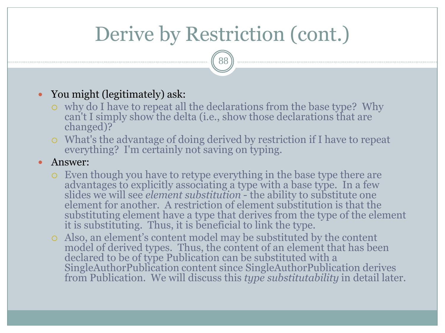### Derive by Restriction (cont.)

88

#### You might (legitimately) ask:

- why do I have to repeat all the declarations from the base type? Why can't I simply show the delta (i.e., show those declarations that are changed)?
- What's the advantage of doing derived by restriction if I have to repeat everything? I'm certainly not saving on typing.
- Answer:
	- Even though you have to retype everything in the base type there are advantages to explicitly associating a type with a base type. In a few slides we will see *element substitution* - the ability to substitute one element for another. A restriction of element substitution is that the substituting element have a type that derives from the type of the element it is substituting. Thus, it is beneficial to link the type.
	- Also, an element's content model may be substituted by the content model of derived types. Thus, the content of an element that has been declared to be of type Publication can be substituted with a SingleAuthorPublication content since SingleAuthorPublication derives from Publication. We will discuss this *type substitutability* in detail later.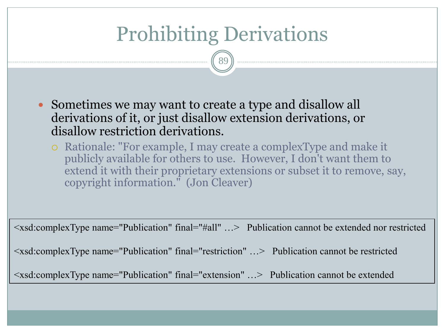#### Prohibiting Derivations

89

- Sometimes we may want to create a type and disallow all derivations of it, or just disallow extension derivations, or disallow restriction derivations.
	- Rationale: "For example, I may create a complexType and make it publicly available for others to use. However, I don't want them to extend it with their proprietary extensions or subset it to remove, say, copyright information." (Jon Cleaver)

<xsd:complexType name="Publication" final="#all" …> Publication cannot be extended nor restricted

<xsd:complexType name="Publication" final="restriction" …> Publication cannot be restricted

<xsd:complexType name="Publication" final="extension" …> Publication cannot be extended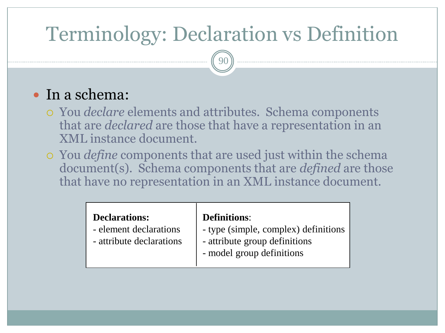### Terminology: Declaration vs Definition

90

#### • In a schema:

- You *declare* elements and attributes. Schema components that are *declared* are those that have a representation in an XML instance document.
- You *define* components that are used just within the schema document(s). Schema components that are *defined* are those that have no representation in an XML instance document.

| <b>Declarations:</b>     | <b>Definitions:</b>                  |
|--------------------------|--------------------------------------|
| - element declarations   | - type (simple, complex) definitions |
| - attribute declarations | - attribute group definitions        |
|                          | - model group definitions            |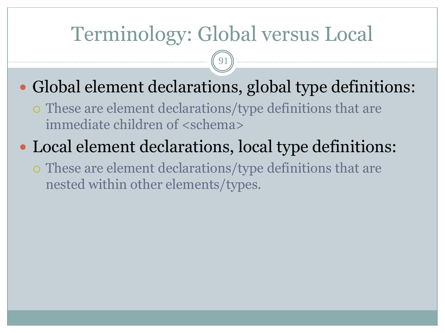#### Terminology: Global versus Local

91

- Global element declarations, global type definitions:
	- These are element declarations/type definitions that are immediate children of <schema>
- Local element declarations, local type definitions:
	- These are element declarations/type definitions that are nested within other elements/types.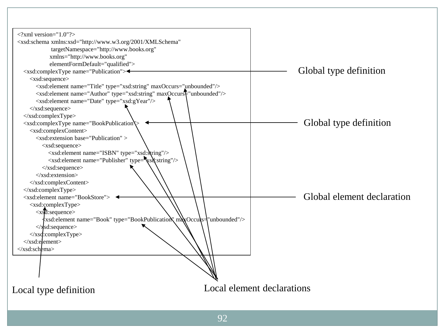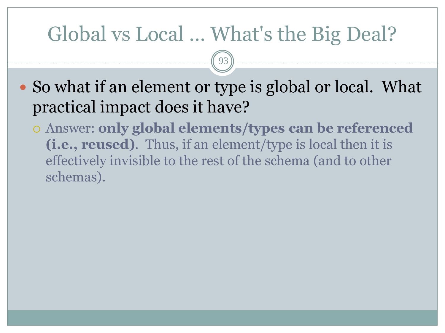#### Global vs Local … What's the Big Deal?

93

• So what if an element or type is global or local. What practical impact does it have?

 Answer: **only global elements/types can be referenced (i.e., reused)**. Thus, if an element/type is local then it is effectively invisible to the rest of the schema (and to other schemas).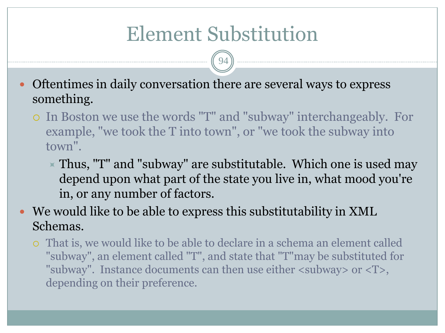#### Element Substitution

94

- Oftentimes in daily conversation there are several ways to express something.
	- In Boston we use the words "T" and "subway" interchangeably. For example, "we took the T into town", or "we took the subway into town".
		- $\times$  Thus, "T" and "subway" are substitutable. Which one is used may depend upon what part of the state you live in, what mood you're in, or any number of factors.
- We would like to be able to express this substitutability in XML Schemas.
	- That is, we would like to be able to declare in a schema an element called "subway", an element called "T", and state that "T"may be substituted for "subway". Instance documents can then use either <subway> or <T>, depending on their preference.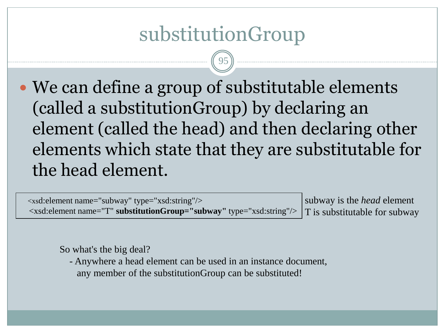#### substitutionGroup

95

• We can define a group of substitutable elements (called a substitutionGroup) by declaring an element (called the head) and then declaring other elements which state that they are substitutable for the head element.

 <xsd:element name="subway" type="xsd:string"/> <xsd:element name="T" **substitutionGroup="subway"** type="xsd:string"/>

subway is the *head* element T is substitutable for subway

So what's the big deal?

 - Anywhere a head element can be used in an instance document, any member of the substitutionGroup can be substituted!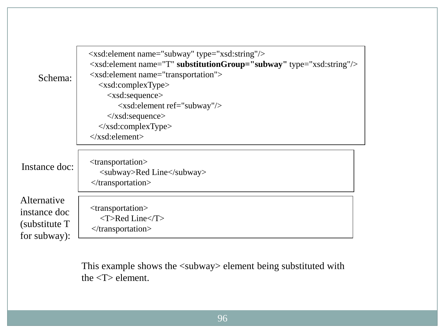| Schema:                                                       | <xsd:element name="subway" type="xsd:string"></xsd:element><br><xsd:element name="T" substitutiongroup="subway" type="xsd:string"></xsd:element><br><xsd: element="" name="transportation"><br/><math>\langle xsd:complexType \rangle</math><br/><math>\langle xsd: sequence \rangle</math><br/><xsd:element ref="subway"></xsd:element><br/><math>\langle x\text{sd}:\text{sequence}\rangle</math><br/><math>\langle xsd:complexType \rangle</math><br/><math>\langle x\text{sd:element}\rangle</math></xsd:> |
|---------------------------------------------------------------|----------------------------------------------------------------------------------------------------------------------------------------------------------------------------------------------------------------------------------------------------------------------------------------------------------------------------------------------------------------------------------------------------------------------------------------------------------------------------------------------------------------|
|                                                               |                                                                                                                                                                                                                                                                                                                                                                                                                                                                                                                |
| Instance doc:                                                 | $<$ transportation $>$<br><subway>Red Line</subway><br>$\langle$ transportation>                                                                                                                                                                                                                                                                                                                                                                                                                               |
| Alternative<br>instance doc<br>(substitute T)<br>for subway): | <transportation><br/><math>&lt;</math>T&gt;Red Line<math>&lt;</math>/T&gt;<br/><math>\langle</math>transportation&gt;</transportation>                                                                                                                                                                                                                                                                                                                                                                         |

This example shows the <subway> element being substituted with the <T> element.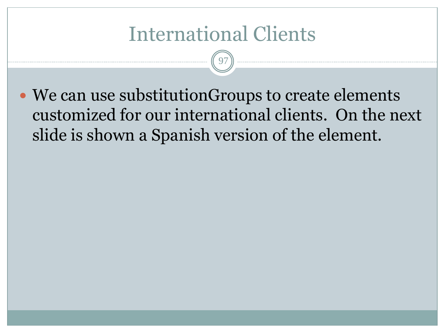#### International Clients

97

 We can use substitutionGroups to create elements customized for our international clients. On the next slide is shown a Spanish version of the element.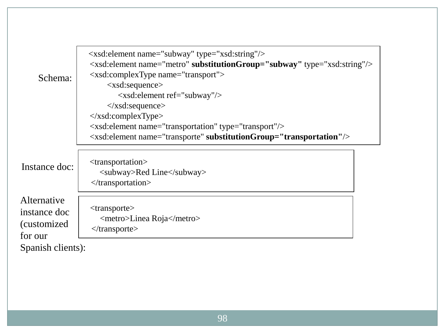| Schema:                                                                     | <xsd:element name="subway" type="xsd:string"></xsd:element><br>$\langle x\bar{x}$ d: element name="metro" substitutionGroup="subway" type="xsd: string"/><br><xsd:complextype name="transport"><br/><math>\langle xsd: sequence \rangle</math><br/><math>\langle xsd:</math>element ref="subway"/<math>&gt;</math><br/><math>\langle x\text{sd}:\text{sequence}\rangle</math><br/><math>\langle x\text{sd:complexType}\rangle</math><br/><xsd:element name="transportation" type="transport"></xsd:element></xsd:complextype> |
|-----------------------------------------------------------------------------|-------------------------------------------------------------------------------------------------------------------------------------------------------------------------------------------------------------------------------------------------------------------------------------------------------------------------------------------------------------------------------------------------------------------------------------------------------------------------------------------------------------------------------|
|                                                                             | $\langle x \rangle$ states are not name = "transporte" substitution Group = "transportation" $\rangle$                                                                                                                                                                                                                                                                                                                                                                                                                        |
| Instance doc:                                                               | <transportation><br/><subway>Red Line</subway><br/><math>\langle</math>transportation&gt;</transportation>                                                                                                                                                                                                                                                                                                                                                                                                                    |
| Alternative<br>instance doc<br>(customized)<br>for our<br>Spanish clients): | <transporte><br/><metro>Linea Roja</metro><br/><math>\langle</math>transporte&gt;</transporte>                                                                                                                                                                                                                                                                                                                                                                                                                                |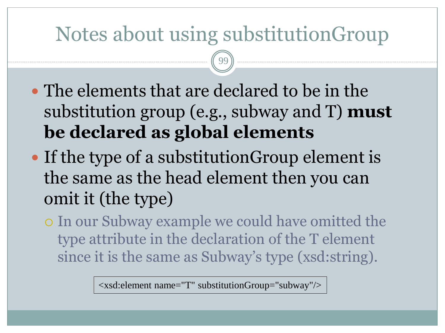#### Notes about using substitutionGroup

99

- The elements that are declared to be in the substitution group (e.g., subway and T) **must be declared as global elements**
- If the type of a substitutionGroup element is the same as the head element then you can omit it (the type)
	- In our Subway example we could have omitted the type attribute in the declaration of the T element since it is the same as Subway's type (xsd:string).

<xsd:element name="T" substitutionGroup="subway"/>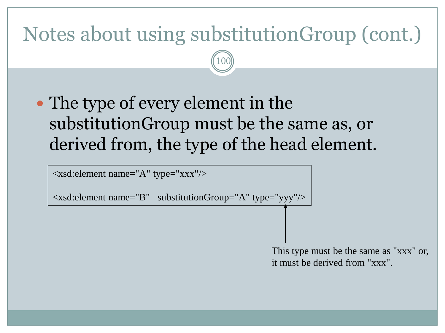### Notes about using substitutionGroup (cont.)

100

• The type of every element in the substitutionGroup must be the same as, or derived from, the type of the head element.

<xsd:element name="A" type="xxx"/>

 $\langle x\bar{x}$ d: element name="B" substitutionGroup="A" type="yyy" $\langle \rangle$ 

This type must be the same as "xxx" or, it must be derived from "xxx".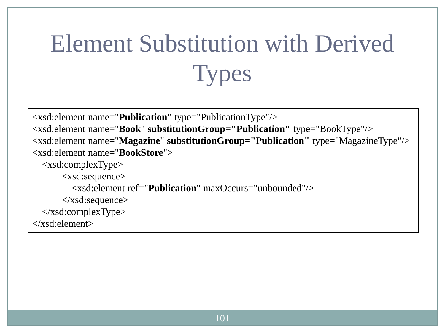# Element Substitution with Derived **Types**

```
<xsd:element name="Publication" type="PublicationType"/>
<xsd:element name="Book" substitutionGroup="Publication" type="BookType"/>
<xsd:element name="Magazine" substitutionGroup="Publication" type="MagazineType"/>
<xsd:element name="BookStore">
   <xsd:complexType>
       <xsd:sequence>
         <xsd:element ref="Publication" maxOccurs="unbounded"/>
       </xsd:sequence>
   </xsd:complexType>
</xsd:element>
```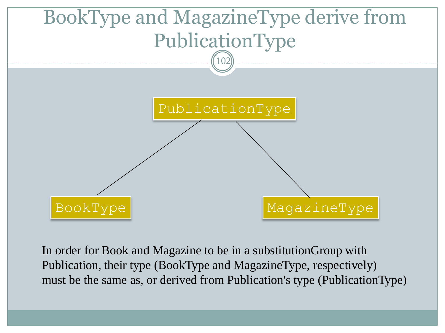

In order for Book and Magazine to be in a substitutionGroup with Publication, their type (BookType and MagazineType, respectively) must be the same as, or derived from Publication's type (PublicationType)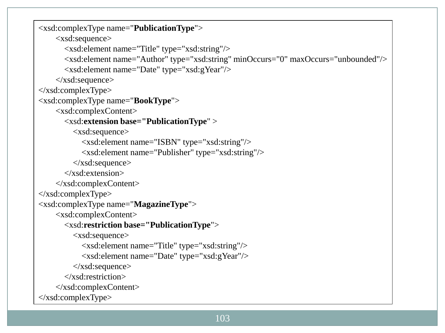```
<xsd:complexType name="PublicationType">
     <xsd:sequence>
        <xsd:element name="Title" type="xsd:string"/>
        <xsd:element name="Author" type="xsd:string" minOccurs="0" maxOccurs="unbounded"/>
       <xsd:element name="Date" type="xsd:gYear"/>
     </xsd:sequence> 
</xsd:complexType>
<xsd:complexType name="BookType">
     <xsd:complexContent>
       <xsd:extension base="PublicationType" >
          <xsd:sequence>
            <xsd:element name="ISBN" type="xsd:string"/>
            <xsd:element name="Publisher" type="xsd:string"/>
          </xsd:sequence>
        </xsd:extension>
     </xsd:complexContent>
\langle x\text{sd:complexType}\rangle<xsd:complexType name="MagazineType">
     <xsd:complexContent>
        <xsd:restriction base="PublicationType">
          <xsd:sequence>
            <xsd:element name="Title" type="xsd:string"/>
            <xsd:element name="Date" type="xsd:gYear"/>
          </xsd:sequence>
        </xsd:restriction>
     </xsd:complexContent>
</xsd:complexType>
```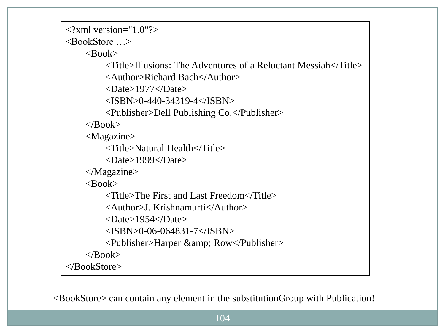```
\langle?xml version="1.0"?>
<BookStore …>
    <Book> <Title>Illusions: The Adventures of a Reluctant Messiah</Title>
          <Author>Richard Bach</Author>
          <Date>1977</Date>
         <ISBN>0-440-34319-4</ISBN>
          <Publisher>Dell Publishing Co.</Publisher>
    \langleRook> <Magazine>
          <Title>Natural Health</Title>
          <Date>1999</Date>
     </Magazine>
    <Book> <Title>The First and Last Freedom</Title>
          <Author>J. Krishnamurti</Author>
          <Date>1954</Date>
         <ISBN>0-06-064831-7</ISBN>
         <Publisher>Harper & amp; Row</Publisher>
    </Book></BookStore>
```
<BookStore> can contain any element in the substitutionGroup with Publication!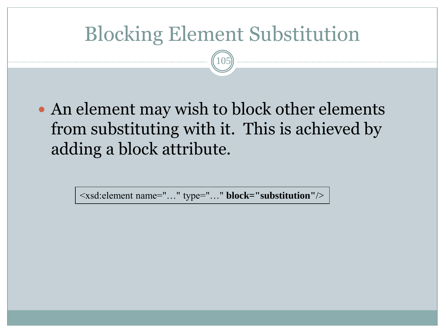#### Blocking Element Substitution

105

• An element may wish to block other elements from substituting with it. This is achieved by adding a block attribute.

<xsd:element name="…" type="…" **block="substitution"**/>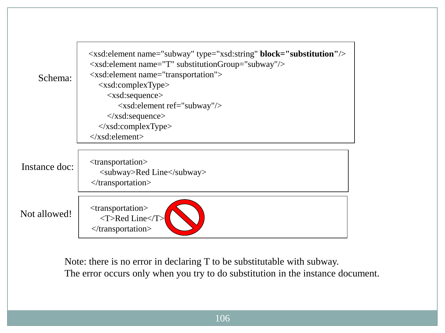| Schema:       | <xsd:element <b="" name="subway" type="xsd:string">block="substitution"/&gt;<br/><math>\langle x \rangle</math> states in the same state of T" substitution Group state subway" <math>\rangle</math><br/><math>\langle x \rangle</math> state definition <math>\langle x \rangle</math><br/><math>\langle xsd:complexType \rangle</math><br/><math>\langle xsd: sequence \rangle</math><br/><xsd:element ref="subway"></xsd:element><br/><math>\langle x\text{sd}:\text{sequence}\rangle</math><br/><math>\langle xsd:complexType \rangle</math><br/><math>\langle x\text{sd}:\text{element}\rangle</math></xsd:element> |
|---------------|--------------------------------------------------------------------------------------------------------------------------------------------------------------------------------------------------------------------------------------------------------------------------------------------------------------------------------------------------------------------------------------------------------------------------------------------------------------------------------------------------------------------------------------------------------------------------------------------------------------------------|
| Instance doc: | <transportation><br/><subway>Red Line</subway><br/><math>\langle</math>transportation&gt;</transportation>                                                                                                                                                                                                                                                                                                                                                                                                                                                                                                               |
| Not allowed!  | $<$ transportation $>$<br><t>Red Line</t><br>$\langle$ transportation>                                                                                                                                                                                                                                                                                                                                                                                                                                                                                                                                                   |

Note: there is no error in declaring T to be substitutable with subway. The error occurs only when you try to do substitution in the instance document.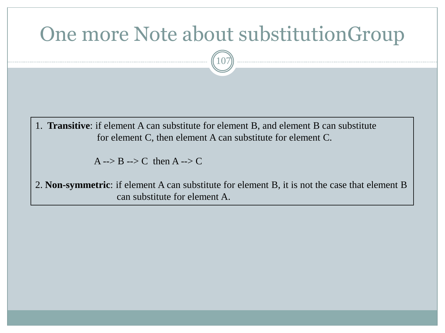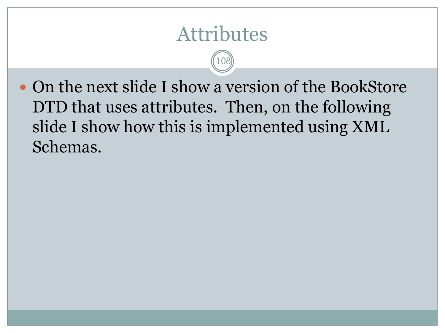#### Attributes

108

 On the next slide I show a version of the BookStore DTD that uses attributes. Then, on the following slide I show how this is implemented using XML Schemas.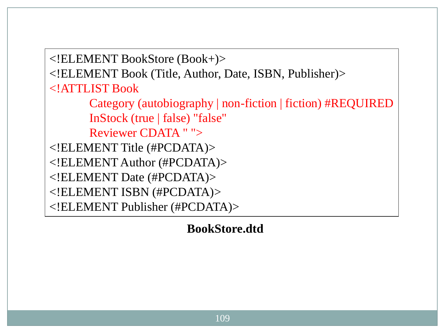<!ELEMENT BookStore (Book+)>

<!ELEMENT Book (Title, Author, Date, ISBN, Publisher)>

<!ATTLIST Book

 Category (autobiography | non-fiction | fiction) #REQUIRED InStock (true | false) "false"

Reviewer CDATA " ">

<!ELEMENT Title (#PCDATA)>

<!ELEMENT Author (#PCDATA)>

<!ELEMENT Date (#PCDATA)>

<!ELEMENT ISBN (#PCDATA)>

<!ELEMENT Publisher (#PCDATA)>

**BookStore.dtd**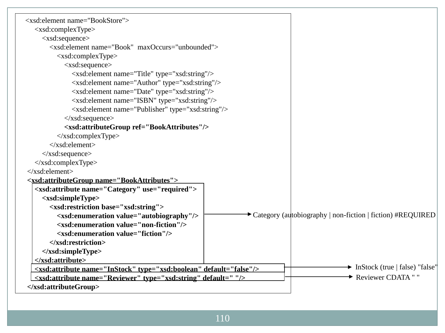| <xsd:element name="BookStore"></xsd:element>                                      |                                                            |                                                      |
|-----------------------------------------------------------------------------------|------------------------------------------------------------|------------------------------------------------------|
| $\langle xsd:complexType \rangle$                                                 |                                                            |                                                      |
| $\langle xsd: sequence \rangle$                                                   |                                                            |                                                      |
| <xsd:element maxoccurs="unbounded" name="Book"></xsd:element>                     |                                                            |                                                      |
| <xsd:complextype></xsd:complextype>                                               |                                                            |                                                      |
| $\langle xsd: sequence \rangle$                                                   |                                                            |                                                      |
| <xsd:element name="Title" type="xsd:string"></xsd:element>                        |                                                            |                                                      |
| <xsd:element name="Author" type="xsd:string"></xsd:element>                       |                                                            |                                                      |
| <xsd:element name="Date" type="xsd:string"></xsd:element>                         |                                                            |                                                      |
| <xsd:element name="ISBN" type="xsd:string"></xsd:element>                         |                                                            |                                                      |
| <xsd:element name="Publisher" type="xsd:string"></xsd:element>                    |                                                            |                                                      |
| $\langle xsd: sequence \rangle$                                                   |                                                            |                                                      |
| <xsd:attributegroup ref="BookAttributes"></xsd:attributegroup>                    |                                                            |                                                      |
| $\langle x\text{sd:complexType}\rangle$                                           |                                                            |                                                      |
| $\langle xsd:element \rangle$                                                     |                                                            |                                                      |
| $\langle xsd: sequence \rangle$                                                   |                                                            |                                                      |
| $\langle xsd:complexType \rangle$                                                 |                                                            |                                                      |
| $\langle x\text{sd:element}\rangle$                                               |                                                            |                                                      |
| <xsd:attributegroup name="BookAttributes"></xsd:attributegroup>                   |                                                            |                                                      |
| <xsd:attribute name="Category" use="required"></xsd:attribute>                    |                                                            |                                                      |
| <xsd:simpletype></xsd:simpletype>                                                 |                                                            |                                                      |
| <xsd:restriction base="xsd:string"></xsd:restriction>                             |                                                            |                                                      |
| <xsd:enumeration value="autobiography"></xsd:enumeration>                         | Category (autobiography   non-fiction   fiction) #REQUIRED |                                                      |
| <xsd:enumeration value="non-fiction"></xsd:enumeration>                           |                                                            |                                                      |
| <xsd:enumeration value="fiction"></xsd:enumeration>                               |                                                            |                                                      |
|                                                                                   |                                                            |                                                      |
|                                                                                   |                                                            |                                                      |
|                                                                                   |                                                            | $\blacktriangleright$ InStock (true   false) "false" |
| <xsd:attribute default="false" name="InStock" type="xsd:boolean"></xsd:attribute> |                                                            | Reviewer CDATA "                                     |
| <xsd:attribute default=" " name="Reviewer" type="xsd:string"></xsd:attribute><br> |                                                            |                                                      |
|                                                                                   |                                                            |                                                      |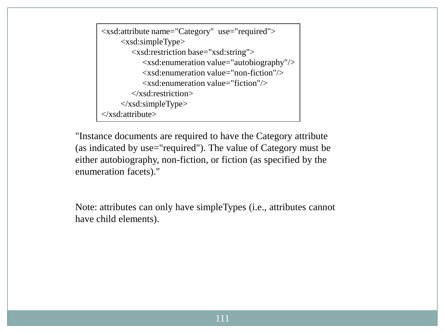```
<xsd:attribute name="Category" use="required">
      <xsd:simpleType>
         <xsd:restriction base="xsd:string">
            <xsd:enumeration value="autobiography"/>
            <xsd:enumeration value="non-fiction"/>
            <xsd:enumeration value="fiction"/>
         </xsd:restriction>
     \langle xsd:simpleType\rangle</xsd:attribute>
```
"Instance documents are required to have the Category attribute (as indicated by use="required"). The value of Category must be either autobiography, non-fiction, or fiction (as specified by the enumeration facets)."

Note: attributes can only have simpleTypes (i.e., attributes cannot have child elements).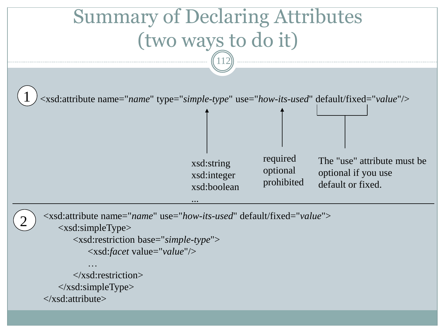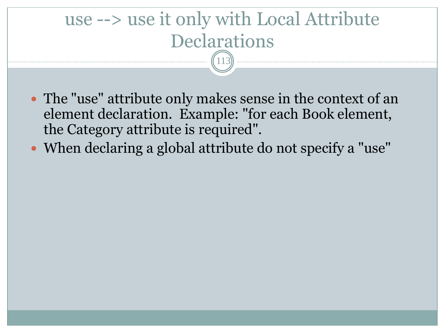### use --> use it only with Local Attribute **Declarations** 113

- The "use" attribute only makes sense in the context of an element declaration. Example: "for each Book element, the Category attribute is required".
- When declaring a global attribute do not specify a "use"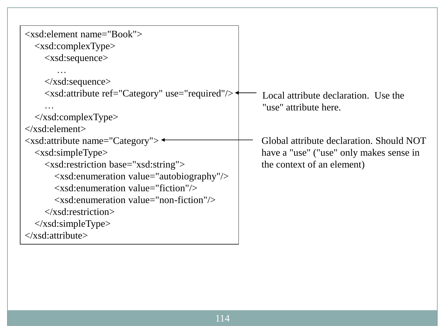| $\langle x\text{sd}:\text{element name}=\text{''Book''}\rangle$<br>$\langle xsd:complexType \rangle$<br>$\langle xsd:sequence \rangle$                                                                                                                                                                                                                                                                                                                                                                                                                                                                                                                                                                                                                                                                                                                                                                                                                                                                                                                                                                                                                                                                                                                                                    |                                                                                                                   |
|-------------------------------------------------------------------------------------------------------------------------------------------------------------------------------------------------------------------------------------------------------------------------------------------------------------------------------------------------------------------------------------------------------------------------------------------------------------------------------------------------------------------------------------------------------------------------------------------------------------------------------------------------------------------------------------------------------------------------------------------------------------------------------------------------------------------------------------------------------------------------------------------------------------------------------------------------------------------------------------------------------------------------------------------------------------------------------------------------------------------------------------------------------------------------------------------------------------------------------------------------------------------------------------------|-------------------------------------------------------------------------------------------------------------------|
| $\langle x\text{sd}:\text{sequence}\rangle$<br><xsd:attribute ref="Category" use="required"></xsd:attribute><br>$\langle x\text{sd:complexType}\rangle$<br>$\langle x\text{sd}:\text{element}\rangle$                                                                                                                                                                                                                                                                                                                                                                                                                                                                                                                                                                                                                                                                                                                                                                                                                                                                                                                                                                                                                                                                                     | Local attribute declaration. Use the<br>"use" attribute here.                                                     |
| $\langle x\text{sd}:$ attribute name="Category"> $\triangleleft$<br>$\langle xsd: simpleType \rangle$<br><xsd:restriction base="xsd:string"><br/><math>\langle x \rangle</math> -xsd: enumeration value = "autobiography" <math>\rangle</math><br/><math>\langle x \rangle</math> xsd: enumeration value="fiction" /&gt;<br/><math>\langle x \rangle</math> = <math>\langle x \rangle</math> = <math>\langle x \rangle</math> = <math>\langle x \rangle</math> = <math>\langle x \rangle</math> = <math>\langle x \rangle</math> = <math>\langle x \rangle</math> = <math>\langle x \rangle</math> = <math>\langle x \rangle</math> = <math>\langle x \rangle</math> = <math>\langle x \rangle</math> = <math>\langle x \rangle</math> = <math>\langle x \rangle</math> = <math>\langle x \rangle</math> = <math>\langle x \rangle</math> = <math>\langle x \rangle</math> = <math>\langle x \rangle</math> = <math>\langle x \rangle</math> = <math>\langle x \rangle</math> = <math>\langle x \rangle</math> = <math>\langle x \rangle</math> = <math>\langle x \rangle</math> =<br/><math>\langle x\</math> xsd: restriction &gt;<br/><math>\langle x\text{sd}:\text{simpleType}\rangle</math><br/><math>\langle x\</math>sd: attribute<math>\langle x\rangle</math></xsd:restriction> | Global attribute declaration. Should NOT<br>have a "use" ("use" only makes sense in<br>the context of an element) |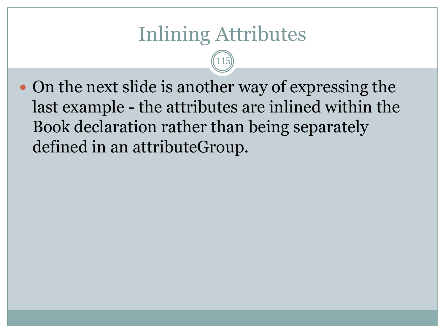## Inlining Attributes

115

• On the next slide is another way of expressing the last example - the attributes are inlined within the Book declaration rather than being separately defined in an attributeGroup.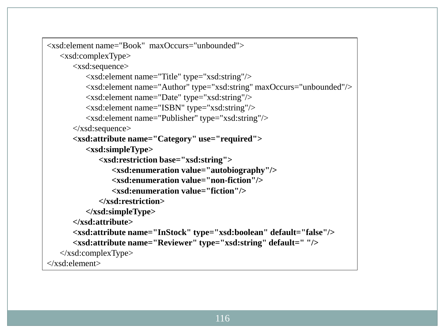```
<xsd:element name="Book" maxOccurs="unbounded">
    <xsd:complexType>
       <xsd:sequence>
           <xsd:element name="Title" type="xsd:string"/>
           <xsd:element name="Author" type="xsd:string" maxOccurs="unbounded"/>
           <xsd:element name="Date" type="xsd:string"/>
           <xsd:element name="ISBN" type="xsd:string"/>
           <xsd:element name="Publisher" type="xsd:string"/>
       </xsd:sequence>
        <xsd:attribute name="Category" use="required">
           <xsd:simpleType>
              <xsd:restriction base="xsd:string">
                  <xsd:enumeration value="autobiography"/>
                  <xsd:enumeration value="non-fiction"/>
                  <xsd:enumeration value="fiction"/>
              </xsd:restriction>
           </xsd:simpleType>
       </xsd:attribute> 
        <xsd:attribute name="InStock" type="xsd:boolean" default="false"/>
        <xsd:attribute name="Reviewer" type="xsd:string" default=" "/>
   \langle x\text{sd:complexType}\rangle</xsd:element>
```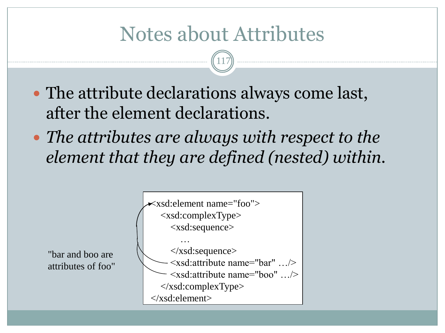## Notes about Attributes

117

- The attribute declarations always come last, after the element declarations.
- *The attributes are always with respect to the element that they are defined (nested) within.*

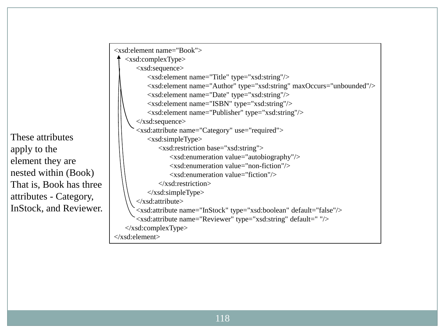These attributes apply to the element they are nested within (Book) That is, Book has three attributes - Category, InStock, and Reviewer.

```
<xsd:element name="Book">
    <xsd:complexType>
        <xsd:sequence>
           <xsd:element name="Title" type="xsd:string"/>
           <xsd:element name="Author" type="xsd:string" maxOccurs="unbounded"/>
           <xsd:element name="Date" type="xsd:string"/>
           <xsd:element name="ISBN" type="xsd:string"/>
           <xsd:element name="Publisher" type="xsd:string"/>
        </xsd:sequence>
        <xsd:attribute name="Category" use="required">
           <xsd:simpleType>
               <xsd:restriction base="xsd:string">
                   <xsd:enumeration value="autobiography"/>
                   <xsd:enumeration value="non-fiction"/>
                   <xsd:enumeration value="fiction"/>
               </xsd:restriction>
           </xsd:simpleType>
       </xsd:attribute> 
        <xsd:attribute name="InStock" type="xsd:boolean" default="false"/>
        <xsd:attribute name="Reviewer" type="xsd:string" default=" "/>
   \langle x\text{sd:complexType}\rangle</xsd:element>
```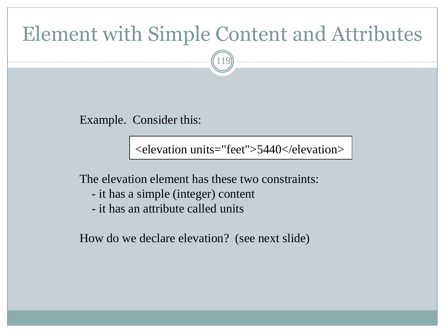### Element with Simple Content and Attributes

119

Example. Consider this:

<elevation units="feet">5440</elevation>

The elevation element has these two constraints:

- it has a simple (integer) content
- it has an attribute called units

How do we declare elevation? (see next slide)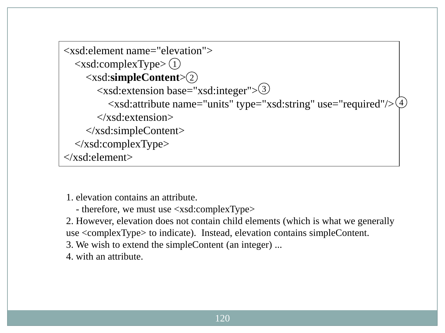```
<xsd:element name="elevation">
 <xsd:complexType>
1
 <xsd:simpleContent>
2
 <xsd:extension base="xsd:integer">
3
\ltxsd:attribute name="units" type="xsd:string" use="required"/>\frac{4}{3} </xsd:extension>
     </xsd:simpleContent>
   </xsd:complexType>
</xsd:element>
```
1. elevation contains an attribute.

- therefore, we must use <xsd:complexType>

2. However, elevation does not contain child elements (which is what we generally use <complexType> to indicate). Instead, elevation contains simpleContent.

3. We wish to extend the simpleContent (an integer) ...

4. with an attribute.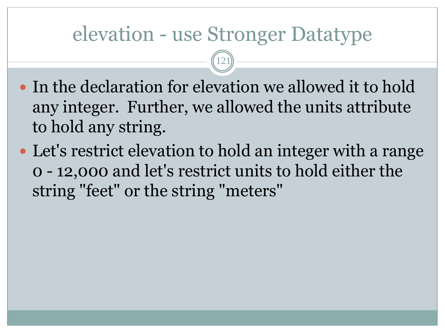### elevation - use Stronger Datatype

121

- In the declaration for elevation we allowed it to hold any integer. Further, we allowed the units attribute to hold any string.
- Let's restrict elevation to hold an integer with a range 0 - 12,000 and let's restrict units to hold either the string "feet" or the string "meters"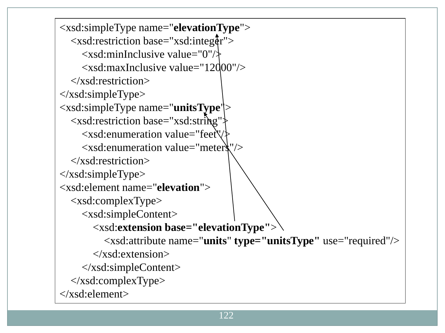<xsd:simpleType name="**elevationType**">  $\langle x\bar{x}$ d: restriction base="xsd: integer">  $\langle x \rangle$ ssd:minInclusive value="0"/ $\rangle$  <xsd:maxInclusive value="12000"/> </xsd:restriction>  $\langle x\text{sd}:\text{simpleType}\rangle$ <xsd:simpleType name="**unitsType**"> <xsd:restriction base="xsd:string"> <xsd:enumeration value="feet"/> <xsd:enumeration value="meters"/>  $\langle x\$ sd:restriction>  $\langle x\text{sd}:\text{simpleType}\rangle$ <xsd:element name="**elevation**"> <xsd:complexType> <xsd:simpleContent> <xsd:**extension base="elevationType"**> <xsd:attribute name="**units**" **type="unitsType"** use="required"/> </xsd:extension> </xsd:simpleContent> </xsd:complexType> </xsd:element>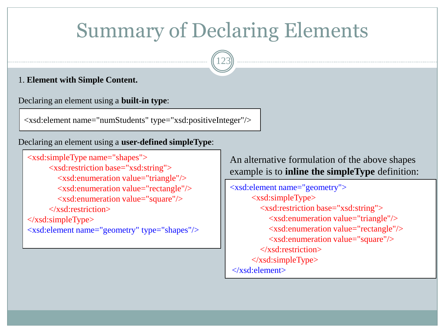## Summary of Declaring Elements

123

#### 1. **Element with Simple Content.**

 $\overline{\phantom{a}}$ 

Declaring an element using a **built-in type**:

<xsd:element name="numStudents" type="xsd:positiveInteger"/>

Declaring an element using a **user-defined simpleType**:

```
<xsd:simpleType name="shapes">
       <xsd:restriction base="xsd:string">
         <xsd:enumeration value="triangle"/>
         <xsd:enumeration value="rectangle"/>
         <xsd:enumeration value="square"/>
       </xsd:restriction>
\langle xsd:simpleType\rangle<xsd:element name="geometry" type="shapes"/>
```
An alternative formulation of the above shapes example is to **inline the simpleType** definition:

<xsd:element name="geometry"> <xsd:simpleType> <xsd:restriction base="xsd:string"> <xsd:enumeration value="triangle"/> <xsd:enumeration value="rectangle"/> <xsd:enumeration value="square"/> </xsd:restriction>  $\langle x\text{sd}:\text{simpleType}\rangle$ </xsd:element>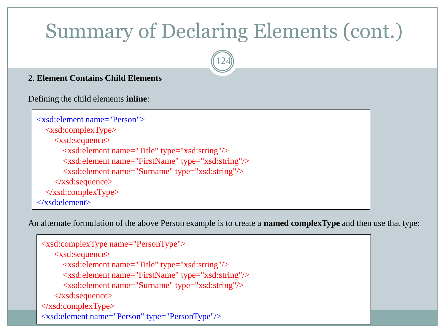# Summary of Declaring Elements (cont.)

124



Defining the child elements **inline**:

```
 <xsd:element name="Person">
   <xsd:complexType>
     <xsd:sequence>
        <xsd:element name="Title" type="xsd:string"/>
        <xsd:element name="FirstName" type="xsd:string"/>
        <xsd:element name="Surname" type="xsd:string"/>
     </xsd:sequence>
   </xsd:complexType>
 </xsd:element>
```
An alternate formulation of the above Person example is to create a **named complexType** and then use that type:

```
 <xsd:complexType name="PersonType">
    <xsd:sequence>
      <xsd:element name="Title" type="xsd:string"/>
      <xsd:element name="FirstName" type="xsd:string"/>
      <xsd:element name="Surname" type="xsd:string"/>
    </xsd:sequence>
 </xsd:complexType>
 <xsd:element name="Person" type="PersonType"/>
```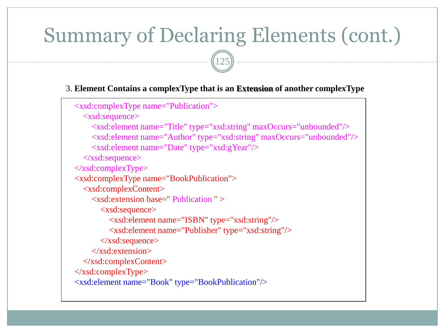## Summary of Declaring Elements (cont.)

125

#### 3. **Element Contains a complexType that is an Extension of another complexType**

```
 <xsd:complexType name="Publication">
   <xsd:sequence>
     <xsd:element name="Title" type="xsd:string" maxOccurs="unbounded"/>
     <xsd:element name="Author" type="xsd:string" maxOccurs="unbounded"/>
     <xsd:element name="Date" type="xsd:gYear"/>
   </xsd:sequence>
\langle xsd:complexType \rangle <xsd:complexType name="BookPublication">
   <xsd:complexContent>
     <xsd:extension base=" Publication " >
        <xsd:sequence>
          <xsd:element name="ISBN" type="xsd:string"/>
          <xsd:element name="Publisher" type="xsd:string"/>
        </xsd:sequence>
     </xsd:extension>
   </xsd:complexContent>
\langle x\text{sd:complexType}\rangle <xsd:element name="Book" type="BookPublication"/>
```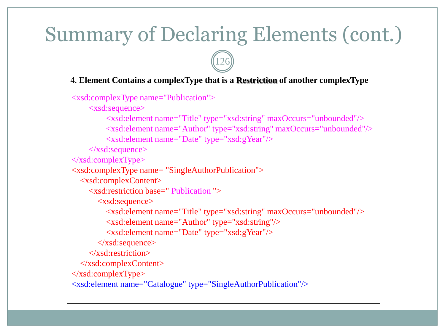## Summary of Declaring Elements (cont.)

126

#### 4. **Element Contains a complexType that is a Restriction of another complexType**

```
<xsd:complexType name="Publication">
     <xsd:sequence>
          <xsd:element name="Title" type="xsd:string" maxOccurs="unbounded"/>
          <xsd:element name="Author" type="xsd:string" maxOccurs="unbounded"/>
          <xsd:element name="Date" type="xsd:gYear"/>
    \langle x\text{sd:sequence}\rangle</xsd:complexType>
<xsd:complexType name= "SingleAuthorPublication">
   <xsd:complexContent>
     <xsd:restriction base=" Publication ">
        <xsd:sequence>
          <xsd:element name="Title" type="xsd:string" maxOccurs="unbounded"/>
          <xsd:element name="Author" type="xsd:string"/>
          <xsd:element name="Date" type="xsd:gYear"/>
        </xsd:sequence>
     </xsd:restriction>
   </xsd:complexContent>
\langle x\text{sd:complexType}\rangle<xsd:element name="Catalogue" type="SingleAuthorPublication"/>
```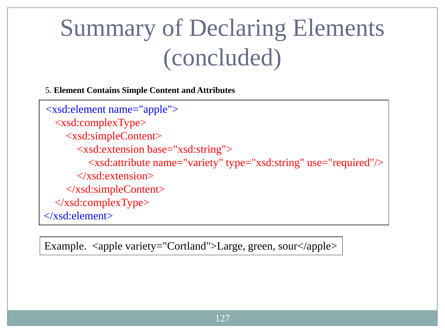# Summary of Declaring Elements (concluded)

5. **Element Contains Simple Content and Attributes**

<xsd:element name="apple"> <xsd:complexType> <xsd:simpleContent> <xsd:extension base="xsd:string"> <xsd:attribute name="variety" type="xsd:string" use="required"/> </xsd:extension> </xsd:simpleContent>  $\langle x\text{sd:complexType}\rangle$ </xsd:element>

Example. <apple variety="Cortland">Large, green, sour</apple>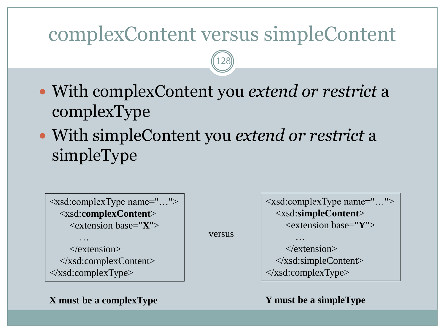### complexContent versus simpleContent

128

- With complexContent you *extend or restrict* a complexType
- With simpleContent you *extend or restrict* a simpleType

versus

```
<xsd:complexType name="…">
  <xsd:complexContent>
     <extension base="X">
 …
```
 $\langle$ /extension $\rangle$  </xsd:complexContent> </xsd:complexType>

**X must be a complexType**

<xsd:complexType name="…"> <xsd:**simpleContent**> <extension base="**Y**"> … </extension> </xsd:simpleContent>  $\langle x\text{sd:complexType}\rangle$ 

**Y must be a simpleType**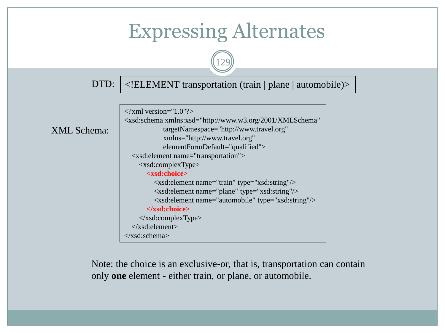

Note: the choice is an exclusive-or, that is, transportation can contain only **one** element - either train, or plane, or automobile.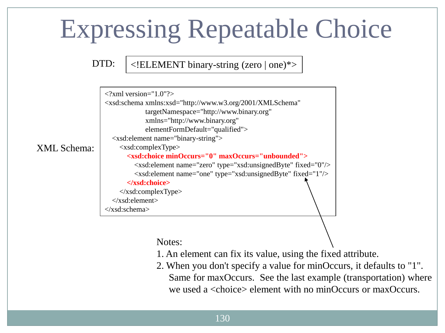# Expressing Repeatable Choice

DTD:  $|\langle ELEMENT \, binary-string \, (zero \, | \, one)^* \rangle$ 

|                    | $\langle$ ?xml version="1.0"?>                                                    |
|--------------------|-----------------------------------------------------------------------------------|
|                    | <xsd:schema <="" td="" xmlns:xsd="http://www.w3.org/2001/XMLSchema"></xsd:schema> |
|                    | targetNamespace="http://www.binary.org"                                           |
|                    | xmlns="http://www.binary.org"                                                     |
|                    | elementFormDefault="qualified">                                                   |
|                    | $\langle x\text{sd:element name} = \text{"binary-string"} \rangle$                |
| <b>XML</b> Schema: | $\langle xsd:complexType \rangle$                                                 |
|                    | <xsd:choice maxoccurs="unbounded" minoccurs="0"></xsd:choice>                     |
|                    | <xsd:element fixed="0" name="zero" type="xsd:unsignedByte"></xsd:element>         |
|                    | <xsd:element fixed="1" name="one" type="xsd:unsignedByte"></xsd:element>          |
|                    |                                                                                   |
|                    | $\langle x\text{sd:complexType}\rangle$                                           |
|                    | $\langle xsd:element \rangle$                                                     |
|                    | $\langle xsd:schema \rangle$                                                      |
|                    |                                                                                   |

Notes:

- 1. An element can fix its value, using the fixed attribute.
- 2. When you don't specify a value for minOccurs, it defaults to "1". Same for maxOccurs. See the last example (transportation) where we used a <choice> element with no minOccurs or maxOccurs.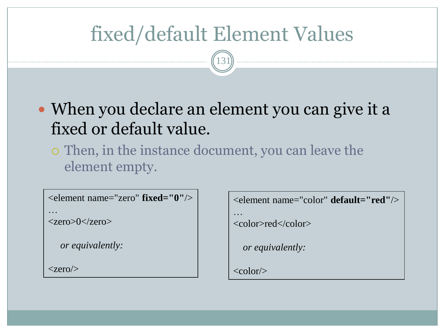## fixed/default Element Values

131

- When you declare an element you can give it a fixed or default value.
	- Then, in the instance document, you can leave the element empty.

```
<element name="zero" fixed="0"/>
…
```

```
\langlezero>0\langle/zero>
```

```
 or equivalently:
```
 $\langle$ zero $\rangle$ 

```
<element name="color" default="red"/>
```

```
…
```

```
<color>red</color>
```

```
 or equivalently:
```

```
\langle \text{color/}\rangle
```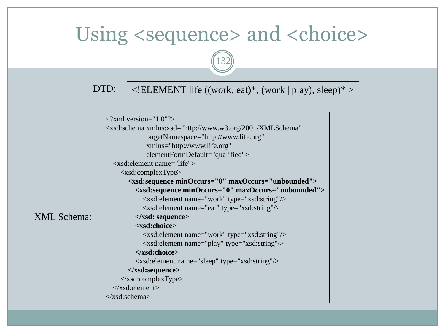### Using <sequence> and <choice>



### DTD:  $|\langle$  ELEMENT life ((work, eat)\*, (work | play), sleep)\* >

|                    | $\langle$ ?xml version="1.0"?>                                                    |
|--------------------|-----------------------------------------------------------------------------------|
|                    | <xsd:schema <="" th="" xmlns:xsd="http://www.w3.org/2001/XMLSchema"></xsd:schema> |
|                    | targetNamespace="http://www.life.org"                                             |
|                    | xmlns="http://www.life.org"                                                       |
|                    | elementFormDefault="qualified">                                                   |
|                    | $\langle x \rangle$ sd: element name="life">                                      |
|                    | $\langle xsd:complexType \rangle$                                                 |
|                    | <xsd:sequence maxoccurs="unbounded" minoccurs="0"></xsd:sequence>                 |
|                    | <xsd:sequence maxoccurs="unbounded" minoccurs="0"></xsd:sequence>                 |
|                    | <xsd:element name="work" type="xsd:string"></xsd:element>                         |
|                    | <xsd:element name="eat" type="xsd:string"></xsd:element>                          |
| <b>XML</b> Schema: | $\langle x\$ sequence>                                                            |
|                    | <xsd:choice></xsd:choice>                                                         |
|                    | <xsd:element name="work" type="xsd:string"></xsd:element>                         |
|                    | <xsd:element name="play" type="xsd:string"></xsd:element>                         |
|                    |                                                                                   |
|                    | <xsd:element name="sleep" type="xsd:string"></xsd:element>                        |
|                    |                                                                                   |
|                    | $\langle x\text{sd:complexType}\rangle$                                           |
|                    | $\langle xsd:element \rangle$                                                     |
|                    | $\langle xsd:schema \rangle$                                                      |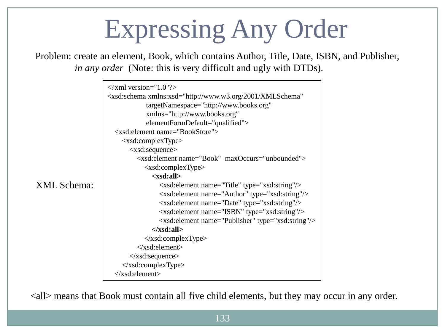# Expressing Any Order

Problem: create an element, Book, which contains Author, Title, Date, ISBN, and Publisher, *in any order* (Note: this is very difficult and ugly with DTDs).



<all> means that Book must contain all five child elements, but they may occur in any order.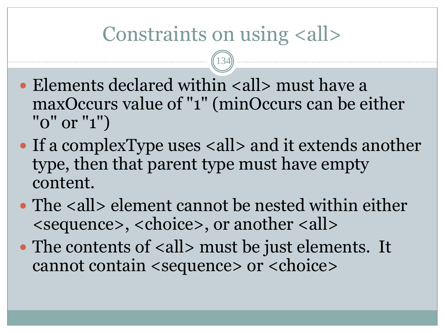## Constraints on using <all>

134

- $\bullet$  Elements declared within  $\lt{all}$  must have a maxOccurs value of "1" (minOccurs can be either "0" or "1")
- If a complexType uses <all> and it extends another type, then that parent type must have empty content.
- The <all> element cannot be nested within either <sequence>, <choice>, or another <all>
- The contents of <all> must be just elements. It cannot contain <sequence> or <choice>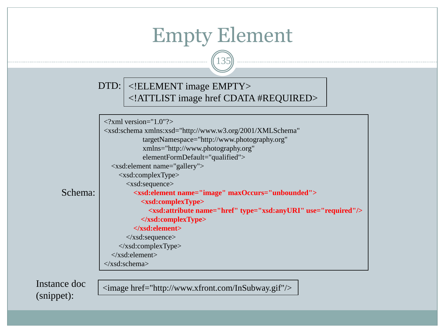### Empty Element

135

#### <!ELEMENT image EMPTY> DTD:<!ATTLIST image href CDATA #REQUIRED>

| <xsd:schema <br="" xmlns:xsd="http://www.w3.org/2001/XMLSchema">targetNamespace="http://www.photography.org"<br/>xmlns="http://www.photography.org"<br/>elementFormDefault="qualified"&gt;<br/><xsd:element name="gallery"><br/><math>\langle xsd:complexType \rangle</math><br/><math>\langle xsd: sequence \rangle</math><br/>chema:<br/><xsd:element maxoccurs="unbounded" name="image"><br/><xsd:complextype><br/><xsd:attribute name="href" type="xsd:anyURI" use="required"></xsd:attribute><br/><math>\langle xsd:complexType \rangle</math><br/><math>\langle x\</math> : element&gt;<br/><math>\langle xsd:sequence \rangle</math><br/><math>\langle x\text{sd:complexType}\rangle</math><br/><math>\langle x\text{sd:element}\rangle</math><br/><math>\langle xsd:schema \rangle</math></xsd:complextype></xsd:element></xsd:element></xsd:schema> | $\langle$ ?xml version="1.0"?> |  |  |  |
|--------------------------------------------------------------------------------------------------------------------------------------------------------------------------------------------------------------------------------------------------------------------------------------------------------------------------------------------------------------------------------------------------------------------------------------------------------------------------------------------------------------------------------------------------------------------------------------------------------------------------------------------------------------------------------------------------------------------------------------------------------------------------------------------------------------------------------------------------------------|--------------------------------|--|--|--|
|                                                                                                                                                                                                                                                                                                                                                                                                                                                                                                                                                                                                                                                                                                                                                                                                                                                              |                                |  |  |  |
|                                                                                                                                                                                                                                                                                                                                                                                                                                                                                                                                                                                                                                                                                                                                                                                                                                                              |                                |  |  |  |
|                                                                                                                                                                                                                                                                                                                                                                                                                                                                                                                                                                                                                                                                                                                                                                                                                                                              |                                |  |  |  |
|                                                                                                                                                                                                                                                                                                                                                                                                                                                                                                                                                                                                                                                                                                                                                                                                                                                              |                                |  |  |  |
|                                                                                                                                                                                                                                                                                                                                                                                                                                                                                                                                                                                                                                                                                                                                                                                                                                                              |                                |  |  |  |
|                                                                                                                                                                                                                                                                                                                                                                                                                                                                                                                                                                                                                                                                                                                                                                                                                                                              |                                |  |  |  |
|                                                                                                                                                                                                                                                                                                                                                                                                                                                                                                                                                                                                                                                                                                                                                                                                                                                              |                                |  |  |  |
|                                                                                                                                                                                                                                                                                                                                                                                                                                                                                                                                                                                                                                                                                                                                                                                                                                                              |                                |  |  |  |
|                                                                                                                                                                                                                                                                                                                                                                                                                                                                                                                                                                                                                                                                                                                                                                                                                                                              |                                |  |  |  |
|                                                                                                                                                                                                                                                                                                                                                                                                                                                                                                                                                                                                                                                                                                                                                                                                                                                              |                                |  |  |  |
|                                                                                                                                                                                                                                                                                                                                                                                                                                                                                                                                                                                                                                                                                                                                                                                                                                                              |                                |  |  |  |
|                                                                                                                                                                                                                                                                                                                                                                                                                                                                                                                                                                                                                                                                                                                                                                                                                                                              |                                |  |  |  |
|                                                                                                                                                                                                                                                                                                                                                                                                                                                                                                                                                                                                                                                                                                                                                                                                                                                              |                                |  |  |  |
|                                                                                                                                                                                                                                                                                                                                                                                                                                                                                                                                                                                                                                                                                                                                                                                                                                                              |                                |  |  |  |
|                                                                                                                                                                                                                                                                                                                                                                                                                                                                                                                                                                                                                                                                                                                                                                                                                                                              |                                |  |  |  |
|                                                                                                                                                                                                                                                                                                                                                                                                                                                                                                                                                                                                                                                                                                                                                                                                                                                              |                                |  |  |  |

Instance doc (snippet):

 $S<sub>c</sub>$ 

<image href="http://www.xfront.com/InSubway.gif"/>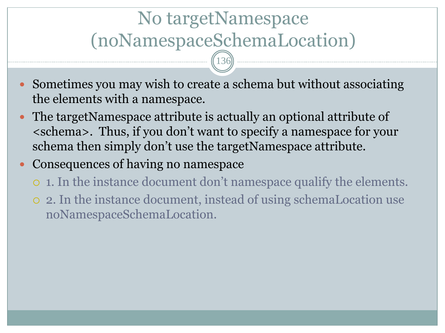## No targetNamespace (noNamespaceSchemaLocation)

136

- Sometimes you may wish to create a schema but without associating the elements with a namespace.
- The targetNamespace attribute is actually an optional attribute of <schema>. Thus, if you don't want to specify a namespace for your schema then simply don't use the targetNamespace attribute.
- Consequences of having no namespace
	- 1. In the instance document don't namespace qualify the elements.
	- 2. In the instance document, instead of using schemaLocation use noNamespaceSchemaLocation.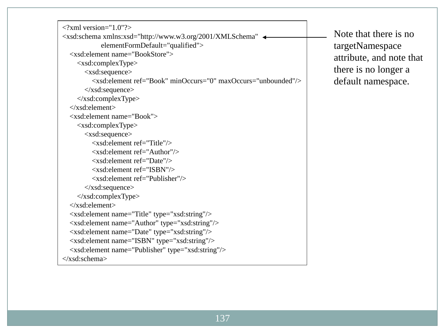$\langle$  2xml version="1.0"?> <xsd:schema xmlns:xsd="http://www.w3.org/2001/XMLSchema" elementFormDefault="qualified"> <xsd:element name="BookStore"> <xsd:complexType> <xsd:sequence> <xsd:element ref="Book" minOccurs="0" maxOccurs="unbounded"/> </xsd:sequence> </xsd:complexType> </xsd:element> <xsd:element name="Book"> <xsd:complexType> <xsd:sequence> <xsd:element ref="Title"/> <xsd:element ref="Author"/> <xsd:element ref="Date"/> <xsd:element ref="ISBN"/> <xsd:element ref="Publisher"/> </xsd:sequence> </xsd:complexType> </xsd:element> <xsd:element name="Title" type="xsd:string"/> <xsd:element name="Author" type="xsd:string"/> <xsd:element name="Date" type="xsd:string"/> <xsd:element name="ISBN" type="xsd:string"/> <xsd:element name="Publisher" type="xsd:string"/> </xsd:schema>

Note that there is no targetNamespace attribute, and note that there is no longer a default namespace.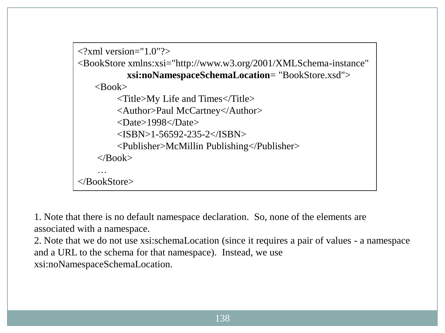```
\langle 2xml version="1.0"?>
<BookStore xmlns:xsi="http://www.w3.org/2001/XMLSchema-instance"
            xsi:noNamespaceSchemaLocation= "BookStore.xsd"> 
    <Book> <Title>My Life and Times</Title>
          <Author>Paul McCartney</Author>
          <Date>1998</Date>
          <ISBN>1-56592-235-2</ISBN>
          <Publisher>McMillin Publishing</Publisher>
    \langleRook> …
</BookStore>
```
1. Note that there is no default namespace declaration. So, none of the elements are associated with a namespace.

2. Note that we do not use xsi:schemaLocation (since it requires a pair of values - a namespace and a URL to the schema for that namespace). Instead, we use xsi:noNamespaceSchemaLocation.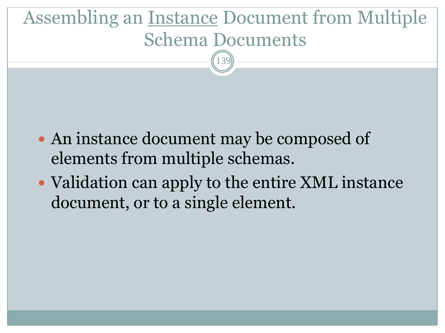### Assembling an Instance Document from Multiple Schema Documents 139

- An instance document may be composed of elements from multiple schemas.
- Validation can apply to the entire XML instance document, or to a single element.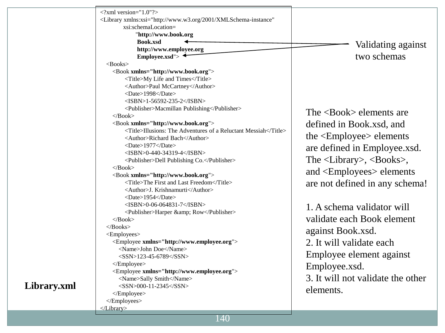| $\langle$ ?xml version="1.0"?><br><library <br="" xmlns:xsi="http://www.w3.org/2001/XMLSchema-instance">xsi:schemaLocation=<br/>"http://www.book.org<br/>Book.xsd<br/>Validating against<br/>http://www.employee.org<br/>two schemas<br/>Employee.xsd"&gt; <math>\triangleleft</math><br/><math>&lt;</math>Books&gt;<br/><book xmlns="http://www.book.org"><br/><title>My Life and Times</title><br/><author>Paul McCartney</author><br/><date>1998</date><br/><math>&lt;</math>ISBN&gt;1-56592-235-2<br/><publisher>Macmillan Publishing</publisher><br/>The <math>\langle \text{Book} \rangle</math> elements are<br/><math>&lt;</math>/Book&gt;<br/><book xmlns="http://www.book.org"><br/>defined in Book.xsd, and<br/><title>Illusions: The Adventures of a Reluctant Messiah</title><br/>the <employee> elements<br/><author>Richard Bach</author><br/><date>1977</date><br/>are defined in Employee.xsd.<br/><math>&lt;</math>ISBN&gt;0-440-34319-4<br/>The <library>, <books>,<br/><publisher>Dell Publishing Co.</publisher><br/><math>&lt;</math>Book&gt;<br/>and <employees> elements<br/><book xmlns="http://www.book.org"><br/><title>The First and Last Freedom</title><br/>are not defined in any schema!<br/><author>J. Krishnamurti</author><br/><date>1954</date><br/><math>&lt;</math>ISBN&gt;0-06-064831-7<br/>1. A schema validator will<br/><publisher>Harper &amp; Row</publisher><br/>validate each Book element<br/><math>&lt;</math>Book&gt;<br/><math>&lt;</math>Books&gt;<br/>against Book.xsd.<br/><employees><br/>2. It will validate each<br/><employee xmlns="http://www.employee.org"><br/><name>John Doe</name><br/>Employee element against<br/><math>&lt;</math>SSN&gt;123-45-6789<br/></employee><br/>Employee.xsd.<br/><employee xmlns="http://www.employee.org"><br/>3. It will not validate the other<br/><name>Sally Smith</name><br/><math>&lt;</math>SSN&gt;000-11-2345<br/>elements.<br/></employee><br/></employees><br/></book></employees></books></library></employee></book></book></library> |  |  |
|------------------------------------------------------------------------------------------------------------------------------------------------------------------------------------------------------------------------------------------------------------------------------------------------------------------------------------------------------------------------------------------------------------------------------------------------------------------------------------------------------------------------------------------------------------------------------------------------------------------------------------------------------------------------------------------------------------------------------------------------------------------------------------------------------------------------------------------------------------------------------------------------------------------------------------------------------------------------------------------------------------------------------------------------------------------------------------------------------------------------------------------------------------------------------------------------------------------------------------------------------------------------------------------------------------------------------------------------------------------------------------------------------------------------------------------------------------------------------------------------------------------------------------------------------------------------------------------------------------------------------------------------------------------------------------------------------------------------------------------------------------------------------------------------------------------------------------------------------------------------------------------------------------------------------------------------------------------------------------------------------------------------------------------------|--|--|
|                                                                                                                                                                                                                                                                                                                                                                                                                                                                                                                                                                                                                                                                                                                                                                                                                                                                                                                                                                                                                                                                                                                                                                                                                                                                                                                                                                                                                                                                                                                                                                                                                                                                                                                                                                                                                                                                                                                                                                                                                                                |  |  |
|                                                                                                                                                                                                                                                                                                                                                                                                                                                                                                                                                                                                                                                                                                                                                                                                                                                                                                                                                                                                                                                                                                                                                                                                                                                                                                                                                                                                                                                                                                                                                                                                                                                                                                                                                                                                                                                                                                                                                                                                                                                |  |  |
|                                                                                                                                                                                                                                                                                                                                                                                                                                                                                                                                                                                                                                                                                                                                                                                                                                                                                                                                                                                                                                                                                                                                                                                                                                                                                                                                                                                                                                                                                                                                                                                                                                                                                                                                                                                                                                                                                                                                                                                                                                                |  |  |
|                                                                                                                                                                                                                                                                                                                                                                                                                                                                                                                                                                                                                                                                                                                                                                                                                                                                                                                                                                                                                                                                                                                                                                                                                                                                                                                                                                                                                                                                                                                                                                                                                                                                                                                                                                                                                                                                                                                                                                                                                                                |  |  |
|                                                                                                                                                                                                                                                                                                                                                                                                                                                                                                                                                                                                                                                                                                                                                                                                                                                                                                                                                                                                                                                                                                                                                                                                                                                                                                                                                                                                                                                                                                                                                                                                                                                                                                                                                                                                                                                                                                                                                                                                                                                |  |  |
|                                                                                                                                                                                                                                                                                                                                                                                                                                                                                                                                                                                                                                                                                                                                                                                                                                                                                                                                                                                                                                                                                                                                                                                                                                                                                                                                                                                                                                                                                                                                                                                                                                                                                                                                                                                                                                                                                                                                                                                                                                                |  |  |
|                                                                                                                                                                                                                                                                                                                                                                                                                                                                                                                                                                                                                                                                                                                                                                                                                                                                                                                                                                                                                                                                                                                                                                                                                                                                                                                                                                                                                                                                                                                                                                                                                                                                                                                                                                                                                                                                                                                                                                                                                                                |  |  |
|                                                                                                                                                                                                                                                                                                                                                                                                                                                                                                                                                                                                                                                                                                                                                                                                                                                                                                                                                                                                                                                                                                                                                                                                                                                                                                                                                                                                                                                                                                                                                                                                                                                                                                                                                                                                                                                                                                                                                                                                                                                |  |  |
|                                                                                                                                                                                                                                                                                                                                                                                                                                                                                                                                                                                                                                                                                                                                                                                                                                                                                                                                                                                                                                                                                                                                                                                                                                                                                                                                                                                                                                                                                                                                                                                                                                                                                                                                                                                                                                                                                                                                                                                                                                                |  |  |
|                                                                                                                                                                                                                                                                                                                                                                                                                                                                                                                                                                                                                                                                                                                                                                                                                                                                                                                                                                                                                                                                                                                                                                                                                                                                                                                                                                                                                                                                                                                                                                                                                                                                                                                                                                                                                                                                                                                                                                                                                                                |  |  |
|                                                                                                                                                                                                                                                                                                                                                                                                                                                                                                                                                                                                                                                                                                                                                                                                                                                                                                                                                                                                                                                                                                                                                                                                                                                                                                                                                                                                                                                                                                                                                                                                                                                                                                                                                                                                                                                                                                                                                                                                                                                |  |  |
|                                                                                                                                                                                                                                                                                                                                                                                                                                                                                                                                                                                                                                                                                                                                                                                                                                                                                                                                                                                                                                                                                                                                                                                                                                                                                                                                                                                                                                                                                                                                                                                                                                                                                                                                                                                                                                                                                                                                                                                                                                                |  |  |
|                                                                                                                                                                                                                                                                                                                                                                                                                                                                                                                                                                                                                                                                                                                                                                                                                                                                                                                                                                                                                                                                                                                                                                                                                                                                                                                                                                                                                                                                                                                                                                                                                                                                                                                                                                                                                                                                                                                                                                                                                                                |  |  |
|                                                                                                                                                                                                                                                                                                                                                                                                                                                                                                                                                                                                                                                                                                                                                                                                                                                                                                                                                                                                                                                                                                                                                                                                                                                                                                                                                                                                                                                                                                                                                                                                                                                                                                                                                                                                                                                                                                                                                                                                                                                |  |  |
|                                                                                                                                                                                                                                                                                                                                                                                                                                                                                                                                                                                                                                                                                                                                                                                                                                                                                                                                                                                                                                                                                                                                                                                                                                                                                                                                                                                                                                                                                                                                                                                                                                                                                                                                                                                                                                                                                                                                                                                                                                                |  |  |
|                                                                                                                                                                                                                                                                                                                                                                                                                                                                                                                                                                                                                                                                                                                                                                                                                                                                                                                                                                                                                                                                                                                                                                                                                                                                                                                                                                                                                                                                                                                                                                                                                                                                                                                                                                                                                                                                                                                                                                                                                                                |  |  |
|                                                                                                                                                                                                                                                                                                                                                                                                                                                                                                                                                                                                                                                                                                                                                                                                                                                                                                                                                                                                                                                                                                                                                                                                                                                                                                                                                                                                                                                                                                                                                                                                                                                                                                                                                                                                                                                                                                                                                                                                                                                |  |  |
|                                                                                                                                                                                                                                                                                                                                                                                                                                                                                                                                                                                                                                                                                                                                                                                                                                                                                                                                                                                                                                                                                                                                                                                                                                                                                                                                                                                                                                                                                                                                                                                                                                                                                                                                                                                                                                                                                                                                                                                                                                                |  |  |
|                                                                                                                                                                                                                                                                                                                                                                                                                                                                                                                                                                                                                                                                                                                                                                                                                                                                                                                                                                                                                                                                                                                                                                                                                                                                                                                                                                                                                                                                                                                                                                                                                                                                                                                                                                                                                                                                                                                                                                                                                                                |  |  |
|                                                                                                                                                                                                                                                                                                                                                                                                                                                                                                                                                                                                                                                                                                                                                                                                                                                                                                                                                                                                                                                                                                                                                                                                                                                                                                                                                                                                                                                                                                                                                                                                                                                                                                                                                                                                                                                                                                                                                                                                                                                |  |  |
|                                                                                                                                                                                                                                                                                                                                                                                                                                                                                                                                                                                                                                                                                                                                                                                                                                                                                                                                                                                                                                                                                                                                                                                                                                                                                                                                                                                                                                                                                                                                                                                                                                                                                                                                                                                                                                                                                                                                                                                                                                                |  |  |
|                                                                                                                                                                                                                                                                                                                                                                                                                                                                                                                                                                                                                                                                                                                                                                                                                                                                                                                                                                                                                                                                                                                                                                                                                                                                                                                                                                                                                                                                                                                                                                                                                                                                                                                                                                                                                                                                                                                                                                                                                                                |  |  |
|                                                                                                                                                                                                                                                                                                                                                                                                                                                                                                                                                                                                                                                                                                                                                                                                                                                                                                                                                                                                                                                                                                                                                                                                                                                                                                                                                                                                                                                                                                                                                                                                                                                                                                                                                                                                                                                                                                                                                                                                                                                |  |  |
|                                                                                                                                                                                                                                                                                                                                                                                                                                                                                                                                                                                                                                                                                                                                                                                                                                                                                                                                                                                                                                                                                                                                                                                                                                                                                                                                                                                                                                                                                                                                                                                                                                                                                                                                                                                                                                                                                                                                                                                                                                                |  |  |
|                                                                                                                                                                                                                                                                                                                                                                                                                                                                                                                                                                                                                                                                                                                                                                                                                                                                                                                                                                                                                                                                                                                                                                                                                                                                                                                                                                                                                                                                                                                                                                                                                                                                                                                                                                                                                                                                                                                                                                                                                                                |  |  |
|                                                                                                                                                                                                                                                                                                                                                                                                                                                                                                                                                                                                                                                                                                                                                                                                                                                                                                                                                                                                                                                                                                                                                                                                                                                                                                                                                                                                                                                                                                                                                                                                                                                                                                                                                                                                                                                                                                                                                                                                                                                |  |  |
|                                                                                                                                                                                                                                                                                                                                                                                                                                                                                                                                                                                                                                                                                                                                                                                                                                                                                                                                                                                                                                                                                                                                                                                                                                                                                                                                                                                                                                                                                                                                                                                                                                                                                                                                                                                                                                                                                                                                                                                                                                                |  |  |
|                                                                                                                                                                                                                                                                                                                                                                                                                                                                                                                                                                                                                                                                                                                                                                                                                                                                                                                                                                                                                                                                                                                                                                                                                                                                                                                                                                                                                                                                                                                                                                                                                                                                                                                                                                                                                                                                                                                                                                                                                                                |  |  |
|                                                                                                                                                                                                                                                                                                                                                                                                                                                                                                                                                                                                                                                                                                                                                                                                                                                                                                                                                                                                                                                                                                                                                                                                                                                                                                                                                                                                                                                                                                                                                                                                                                                                                                                                                                                                                                                                                                                                                                                                                                                |  |  |
|                                                                                                                                                                                                                                                                                                                                                                                                                                                                                                                                                                                                                                                                                                                                                                                                                                                                                                                                                                                                                                                                                                                                                                                                                                                                                                                                                                                                                                                                                                                                                                                                                                                                                                                                                                                                                                                                                                                                                                                                                                                |  |  |
|                                                                                                                                                                                                                                                                                                                                                                                                                                                                                                                                                                                                                                                                                                                                                                                                                                                                                                                                                                                                                                                                                                                                                                                                                                                                                                                                                                                                                                                                                                                                                                                                                                                                                                                                                                                                                                                                                                                                                                                                                                                |  |  |
|                                                                                                                                                                                                                                                                                                                                                                                                                                                                                                                                                                                                                                                                                                                                                                                                                                                                                                                                                                                                                                                                                                                                                                                                                                                                                                                                                                                                                                                                                                                                                                                                                                                                                                                                                                                                                                                                                                                                                                                                                                                |  |  |
|                                                                                                                                                                                                                                                                                                                                                                                                                                                                                                                                                                                                                                                                                                                                                                                                                                                                                                                                                                                                                                                                                                                                                                                                                                                                                                                                                                                                                                                                                                                                                                                                                                                                                                                                                                                                                                                                                                                                                                                                                                                |  |  |
|                                                                                                                                                                                                                                                                                                                                                                                                                                                                                                                                                                                                                                                                                                                                                                                                                                                                                                                                                                                                                                                                                                                                                                                                                                                                                                                                                                                                                                                                                                                                                                                                                                                                                                                                                                                                                                                                                                                                                                                                                                                |  |  |
|                                                                                                                                                                                                                                                                                                                                                                                                                                                                                                                                                                                                                                                                                                                                                                                                                                                                                                                                                                                                                                                                                                                                                                                                                                                                                                                                                                                                                                                                                                                                                                                                                                                                                                                                                                                                                                                                                                                                                                                                                                                |  |  |
|                                                                                                                                                                                                                                                                                                                                                                                                                                                                                                                                                                                                                                                                                                                                                                                                                                                                                                                                                                                                                                                                                                                                                                                                                                                                                                                                                                                                                                                                                                                                                                                                                                                                                                                                                                                                                                                                                                                                                                                                                                                |  |  |
|                                                                                                                                                                                                                                                                                                                                                                                                                                                                                                                                                                                                                                                                                                                                                                                                                                                                                                                                                                                                                                                                                                                                                                                                                                                                                                                                                                                                                                                                                                                                                                                                                                                                                                                                                                                                                                                                                                                                                                                                                                                |  |  |
|                                                                                                                                                                                                                                                                                                                                                                                                                                                                                                                                                                                                                                                                                                                                                                                                                                                                                                                                                                                                                                                                                                                                                                                                                                                                                                                                                                                                                                                                                                                                                                                                                                                                                                                                                                                                                                                                                                                                                                                                                                                |  |  |
|                                                                                                                                                                                                                                                                                                                                                                                                                                                                                                                                                                                                                                                                                                                                                                                                                                                                                                                                                                                                                                                                                                                                                                                                                                                                                                                                                                                                                                                                                                                                                                                                                                                                                                                                                                                                                                                                                                                                                                                                                                                |  |  |
|                                                                                                                                                                                                                                                                                                                                                                                                                                                                                                                                                                                                                                                                                                                                                                                                                                                                                                                                                                                                                                                                                                                                                                                                                                                                                                                                                                                                                                                                                                                                                                                                                                                                                                                                                                                                                                                                                                                                                                                                                                                |  |  |

### **Library.xml**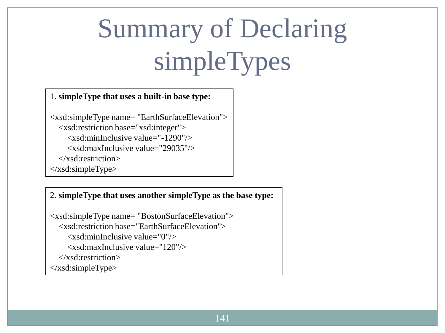# Summary of Declaring simpleTypes

#### 1. **simpleType that uses a built-in base type:**

<xsd:simpleType name= "EarthSurfaceElevation"> <xsd:restriction base="xsd:integer"> <xsd:minInclusive value="-1290"/> <xsd:maxInclusive value="29035"/> </xsd:restriction> </xsd:simpleType>

#### 2. **simpleType that uses another simpleType as the base type:**

```
<xsd:simpleType name= "BostonSurfaceElevation">
   <xsd:restriction base="EarthSurfaceElevation">
     \langle x \ranglesd:minInclusive value="0"/>
      <xsd:maxInclusive value="120"/>
   </xsd:restriction>
</xsd:simpleType>
```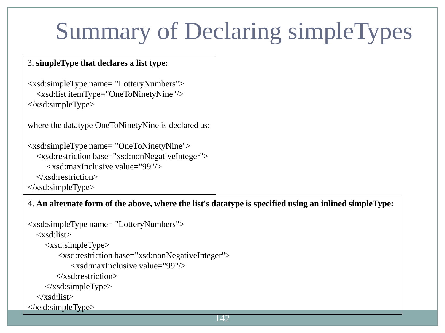# Summary of Declaring simpleTypes

#### 3. **simpleType that declares a list type:**

```
<xsd:simpleType name= "LotteryNumbers">
   <xsd:list itemType="OneToNinetyNine"/>
</xsd:simpleType>
```

```
where the datatype OneToNinetyNine is declared as:
```

```
<xsd:simpleType name= "OneToNinetyNine">
   <xsd:restriction base="xsd:nonNegativeInteger">
      <xsd:maxInclusive value="99"/>
   </xsd:restriction>
```

```
</xsd:simpleType>
```
#### 4. **An alternate form of the above, where the list's datatype is specified using an inlined simpleType:**

```
<xsd:simpleType name= "LotteryNumbers">
   <xsd:list>
      <xsd:simpleType>
          <xsd:restriction base="xsd:nonNegativeInteger">
              <xsd:maxInclusive value="99"/>
         </xsd:restriction>
     \langle x\text{sd}:\text{simpleType}\rangle </xsd:list>
\langle xsd:simpleType\rangle
```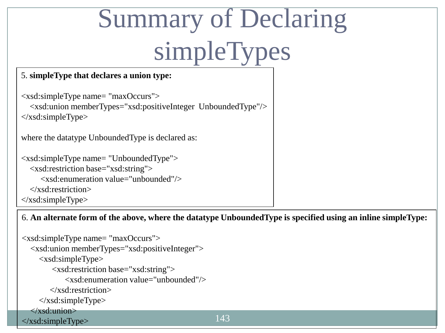# Summary of Declaring simpleTypes

#### 5. **simpleType that declares a union type:**

```
<xsd:simpleType name= "maxOccurs">
   <xsd:union memberTypes="xsd:positiveInteger UnboundedType"/>
\langle x\text{sd}:\text{simpleType}\ranglewhere the datatype UnboundedType is declared as:
```

```
<xsd:simpleType name= "UnboundedType">
   <xsd:restriction base="xsd:string">
       <xsd:enumeration value="unbounded"/>
   </xsd:restriction>
\langle x\text{sd}:\text{simpleType}\rangle
```
#### 6. **An alternate form of the above, where the datatype UnboundedType is specified using an inline simpleType:**

```
143
<xsd:simpleType name= "maxOccurs">
   <xsd:union memberTypes="xsd:positiveInteger">
     <xsd:simpleType>
         <xsd:restriction base="xsd:string">
            <xsd:enumeration value="unbounded"/>
        </xsd:restriction>
     </xsd:simpleType> 
   </xsd:union>
```
</xsd:simpleType>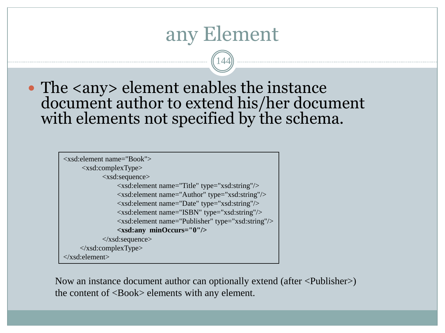### any Element

144

• The <any> element enables the instance document author to extend his/her document with elements not specified by the schema.



Now an instance document author can optionally extend (after <Publisher>) the content of <Book> elements with any element.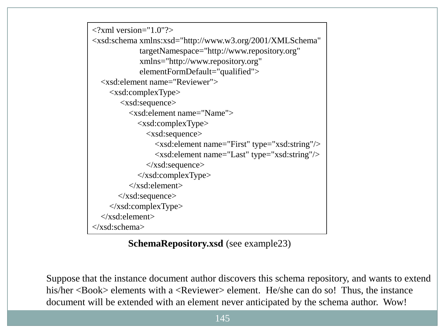

**SchemaRepository.xsd** (see example23)

Suppose that the instance document author discovers this schema repository, and wants to extend his/her <Book> elements with a <Reviewer> element. He/she can do so! Thus, the instance document will be extended with an element never anticipated by the schema author. Wow!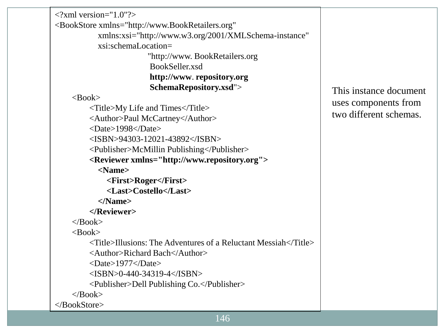| $\langle$ ?xml version="1.0"?>                                                    |                                                |
|-----------------------------------------------------------------------------------|------------------------------------------------|
| <bookstore <="" td="" xmlns="http://www.BookRetailers.org"><td></td></bookstore>  |                                                |
| xmlns:xsi="http://www.w3.org/2001/XMLSchema-instance"                             |                                                |
| xsi:schemaLocation=                                                               |                                                |
| "http://www. BookRetailers.org                                                    |                                                |
| BookSeller.xsd                                                                    |                                                |
| http://www.repository.org                                                         |                                                |
| SchemaRepository.xsd">                                                            | This instance document                         |
| $<$ Book $>$                                                                      | uses components from<br>two different schemas. |
| <title>My Life and Times</title>                                                  |                                                |
| <author>Paul McCartney</author>                                                   |                                                |
| $<$ Date>1998 $<$ /Date>                                                          |                                                |
| $<$ ISBN>94303-12021-43892                                                        |                                                |
| <publisher>McMillin Publishing</publisher>                                        |                                                |
| <reviewer xmlns="http://www.repository.org"></reviewer>                           |                                                |
| $<$ Name $>$                                                                      |                                                |
| <first>Roger</first>                                                              |                                                |
| <last>Costello</last>                                                             |                                                |
| $<$ /Name $>$                                                                     |                                                |
|                                                                                   |                                                |
| $<$ Book>                                                                         |                                                |
| $<$ Book $>$                                                                      |                                                |
| $\langle$ Title>Illusions: The Adventures of a Reluctant Messiah $\langle$ Title> |                                                |
| <author>Richard Bach</author>                                                     |                                                |
| <date>1977</date>                                                                 |                                                |
| $<$ ISBN>0-440-34319-4                                                            |                                                |
| <publisher>Dell Publishing Co.</publisher>                                        |                                                |
| $<$ Book>                                                                         |                                                |
|                                                                                   |                                                |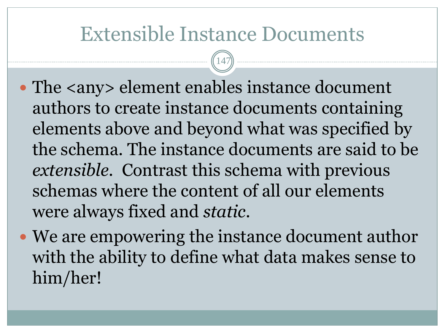## Extensible Instance Documents

147

- The <any> element enables instance document authors to create instance documents containing elements above and beyond what was specified by the schema. The instance documents are said to be *extensible*. Contrast this schema with previous schemas where the content of all our elements were always fixed and *static*.
- We are empowering the instance document author with the ability to define what data makes sense to him/her!